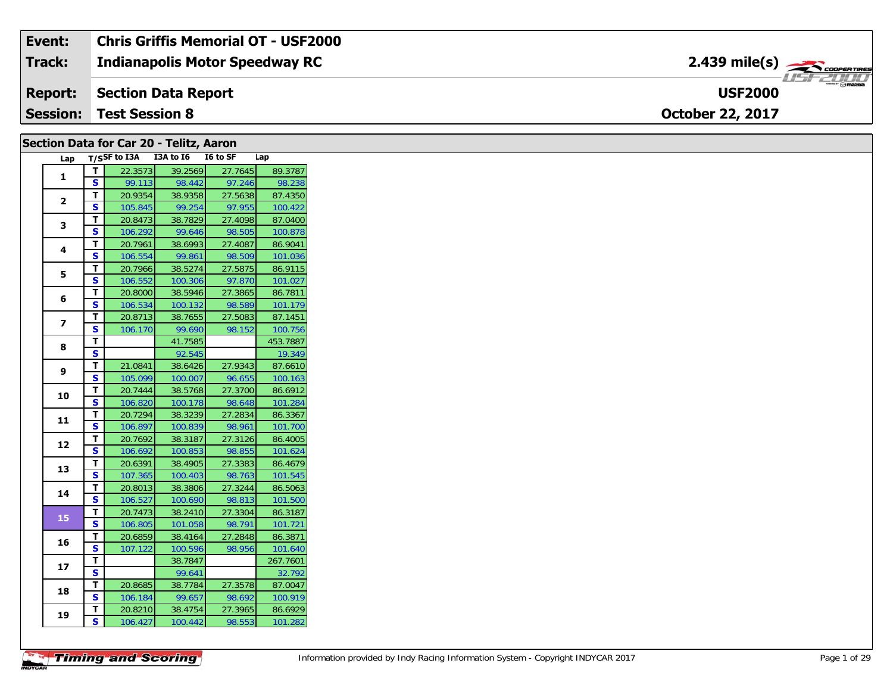| Event:          | <b>Chris Griffis Memorial OT - USF2000</b> |                                                  |
|-----------------|--------------------------------------------|--------------------------------------------------|
| <b>Track:</b>   | <b>Indianapolis Motor Speedway RC</b>      | $2.439$ mile(s) $\rightarrow$                    |
| <b>Report:</b>  | Section Data Report                        | $m_{\text{max}}$ $\odot$ mazpa<br><b>USF2000</b> |
| <b>Session:</b> | <b>Test Session 8</b>                      | <b>October 22, 2017</b>                          |

#### **Section Data for Car 20 - Telitz, Aaron**

| Lap            |                         | T/SSF to I3A | I3A to I6 | I6 to SF | Lap      |
|----------------|-------------------------|--------------|-----------|----------|----------|
| 1              | Т                       | 22.3573      | 39.2569   | 27.7645  | 89.3787  |
|                | S                       | 99.113       | 98.442    | 97.246   | 98.238   |
|                | T                       | 20.9354      | 38.9358   | 27.5638  | 87.4350  |
| $\overline{2}$ | S                       | 105.845      | 99.254    | 97.955   | 100.422  |
| 3              | T                       | 20.8473      | 38.7829   | 27.4098  | 87.0400  |
|                | S                       | 106.292      | 99.646    | 98.505   | 100.878  |
| 4              | т                       | 20.7961      | 38.6993   | 27.4087  | 86.9041  |
|                | S                       | 106.554      | 99.861    | 98.509   | 101.036  |
| 5              | т                       | 20.7966      | 38.5274   | 27.5875  | 86.9115  |
|                | S                       | 106.552      | 100.306   | 97.870   | 101.027  |
| 6              | т                       | 20.8000      | 38.5946   | 27.3865  | 86.7811  |
|                | S                       | 106.534      | 100.132   | 98.589   | 101.179  |
| 7              | т                       | 20.8713      | 38.7655   | 27.5083  | 87.1451  |
|                | S                       | 106.170      | 99.690    | 98.152   | 100.756  |
| 8              | т                       |              | 41.7585   |          | 453.7887 |
|                | S                       |              | 92.545    |          | 19.349   |
| 9              | T                       | 21.0841      | 38.6426   | 27.9343  | 87.6610  |
|                | S                       | 105.099      | 100.007   | 96.655   | 100.163  |
| 10             | т                       | 20.7444      | 38.5768   | 27.3700  | 86.6912  |
|                | S                       | 106.820      | 100.178   | 98.648   | 101.284  |
| 11             | T                       | 20.7294      | 38.3239   | 27.2834  | 86.3367  |
|                | S                       | 106.897      | 100.839   | 98.961   | 101.700  |
| 12             | T                       | 20.7692      | 38.3187   | 27.3126  | 86.4005  |
|                | S                       | 106.692      | 100.853   | 98.855   | 101.624  |
| 13             | T                       | 20.6391      | 38.4905   | 27.3383  | 86.4679  |
|                | S                       | 107.365      | 100.403   | 98.763   | 101.545  |
| 14             | т                       | 20.8013      | 38.3806   | 27.3244  | 86.5063  |
|                | S                       | 106.527      | 100.690   | 98.813   | 101.500  |
| 15             | Т                       | 20.7473      | 38.2410   | 27.3304  | 86.3187  |
|                | S                       | 106.805      | 101.058   | 98.791   | 101.721  |
| 16             | T                       | 20.6859      | 38.4164   | 27.2848  | 86.3871  |
|                | S                       | 107.122      | 100.596   | 98.956   | 101.640  |
| 17             | T                       |              | 38.7847   |          | 267.7601 |
|                | S                       |              | 99.641    |          | 32.792   |
| 18             | Т                       | 20.8685      | 38.7784   | 27.3578  | 87.0047  |
|                | S                       | 106.184      | 99.657    | 98.692   | 100.919  |
| 19             | T                       | 20.8210      | 38.4754   | 27.3965  | 86.6929  |
|                | $\overline{\mathbf{s}}$ | 106.427      | 100.442   | 98.553   | 101.282  |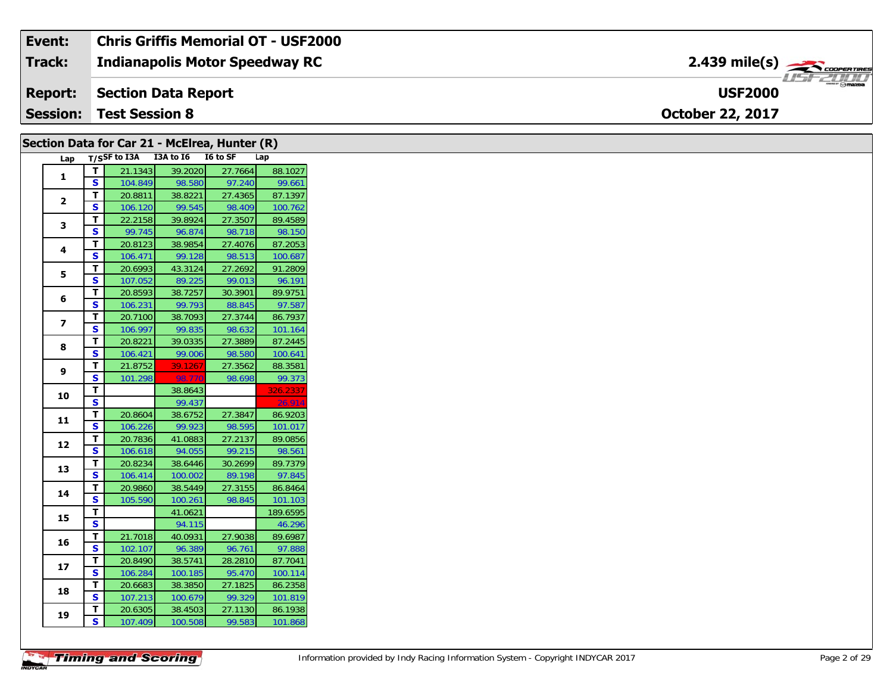| Event:          | Chris Griffis Memorial OT - USF2000   |                                               |
|-----------------|---------------------------------------|-----------------------------------------------|
| <b>Track:</b>   | <b>Indianapolis Motor Speedway RC</b> | $2.439$ mile(s) $\rightarrow$ COOPER TIRES    |
|                 | <b>Report: Section Data Report</b>    | $m_{\rm eff}$ $\odot$ mazpa<br><b>USF2000</b> |
| <b>Session:</b> | <b>Test Session 8</b>                 | <b>October 22, 2017</b>                       |

|                         |               | Section Data for Car 21 - McElrea, Hunter (R) |                    |                   |                   |
|-------------------------|---------------|-----------------------------------------------|--------------------|-------------------|-------------------|
|                         |               | Lap T/SSF to I3A I3A to I6 I6 to SF           |                    |                   | Lap               |
|                         | T             | 21.1343                                       | 39.2020            | 27.7664           | 88.1027           |
| $\mathbf{1}$            | S             | 104.849                                       | 98.580             | 97.240            | 99.661            |
| $\overline{2}$          | Т             | 20.8811                                       | 38.8221            | 27.4365           | 87.1397           |
|                         | <b>S</b>      | 106.120                                       | 99.545             | 98.409            | 100.762           |
| 3                       | Т             | 22.2158                                       | 39.8924            | 27.3507           | 89.4589           |
|                         | S             | 99.745                                        | 96.874             | 98.718            | 98.150            |
| 4                       | T             | 20.8123                                       | 38.9854            | 27.4076           | 87.2053           |
|                         | S             | 106.471                                       | 99.128             | 98.513            | 100.687           |
| 5                       | T.            | 20.6993                                       | 43.3124            | 27.2692           | 91.2809           |
|                         | S             | 107.052                                       | 89.225             | 99.013            | 96.191            |
| 6                       | Т             | 20.8593                                       | 38.7257            | 30.3901           | 89.9751           |
|                         | S             | 106.231                                       | 99.793             | 88.845            | 97.587            |
| $\overline{\mathbf{z}}$ | T             | 20.7100                                       | 38.7093            | 27.3744           | 86.7937           |
|                         | S             | 106.997                                       | 99.835             | 98.632            | 101.164           |
| 8                       | Т             | 20.8221                                       | 39.0335            | 27.3889           | 87.2445           |
|                         | $\mathbf{s}$  | 106.421                                       | 99.006             | 98.580            | 100.641           |
| 9                       | Т             | 21.8752                                       | 39.1267            | 27.3562           | 88.3581           |
|                         | S             | 101.298                                       | 98.770             | 98.698            | 99.373            |
| 10                      | T             |                                               | 38.8643            |                   | 326.2337          |
|                         | S             |                                               | 99.437             |                   | 26.914            |
| 11                      | т             | 20.8604                                       | 38.6752            | 27.3847           | 86.9203           |
|                         | S             | 106.226                                       | 99.923             | 98.595            | 101.017           |
| 12                      | T             | 20.7836                                       | 41.0883            | 27.2137           | 89.0856           |
|                         | S             | 106.618                                       | 94.055             | 99.215            | 98.561            |
| 13                      | T<br><b>S</b> | 20.8234                                       | 38.6446            | 30.2699           | 89.7379           |
|                         | Т             | 106.414<br>20.9860                            | 100.002<br>38.5449 | 89.198<br>27.3155 | 97.845<br>86.8464 |
| 14                      | S             | 105.590                                       | 100.261            | 98.845            | 101.103           |
|                         | T             |                                               | 41.0621            |                   | 189.6595          |
| 15                      | S             |                                               | 94.115             |                   | 46.296            |
|                         | T             | 21.7018                                       | 40.0931            | 27.9038           | 89.6987           |
| 16                      | S             | 102.107                                       | 96.389             | 96.761            | 97.888            |
|                         | Т             | 20.8490                                       | 38.5741            | 28.2810           | 87.7041           |
| 17                      | S             | 106.284                                       | 100.185            | 95.470            | 100.114           |
|                         | T             | 20.6683                                       | 38.3850            | 27.1825           | 86.2358           |
| 18                      | S             | 107.213                                       | 100.679            | 99.329            | 101.819           |
|                         | T.            | 20.6305                                       | 38.4503            | 27.1130           | 86.1938           |
| 19                      | S.            | 107.409                                       | 100.508            | 99.583            | 101.868           |
|                         |               |                                               |                    |                   |                   |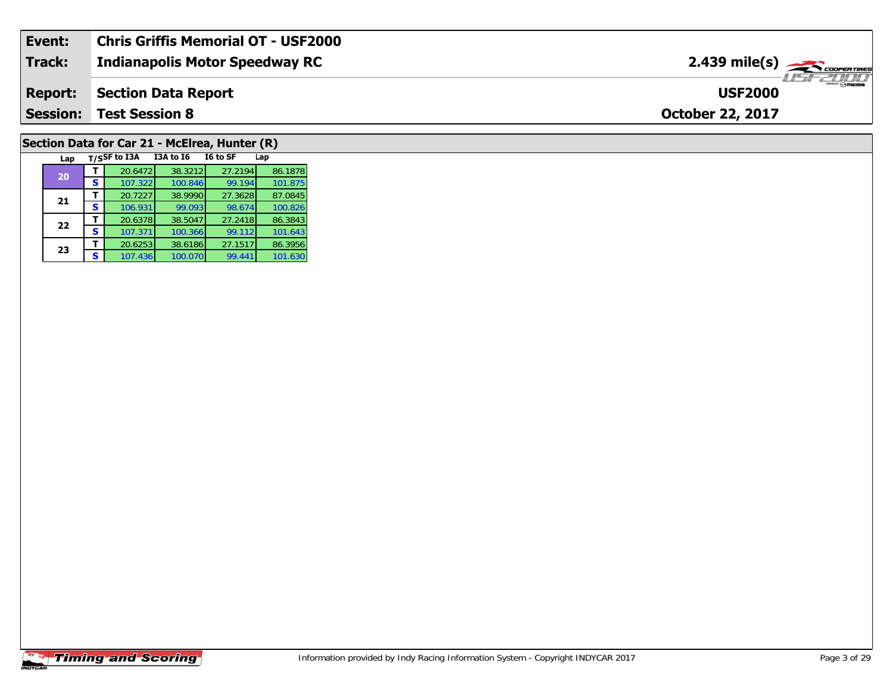| Event:          | Chris Griffis Memorial OT - USF2000 |                                                |
|-----------------|-------------------------------------|------------------------------------------------|
| Track:          | Indianapolis Motor Speedway RC      | $2.439$ mile(s) $\frac{1}{2.600}$ coorga Times |
| <b>Report:</b>  | Section Data Report                 | omazoa<br><b>USF2000</b>                       |
| <b>Session:</b> | <b>Test Session 8</b>               | <b>October 22, 2017</b>                        |
|                 |                                     |                                                |

#### **Section Data for Car 21 - McElrea, Hunter (R)**

| Lap |   | T/SSF to I3A | <b>I3A to 16</b> | I6 to SF | Lap     |
|-----|---|--------------|------------------|----------|---------|
| 20  |   | 20.6472      | 38.3212          | 27.2194  | 86.1878 |
|     | s | 107.322      | 100.846          | 99.194   | 101.875 |
| 21  |   | 20.7227      | 38.9990          | 27.3628  | 87.0845 |
|     | S | 106.931      | 99.093           | 98.674   | 100.826 |
| 22  |   | 20.6378      | 38.5047          | 27.2418  | 86.3843 |
|     | S | 107.371      | 100.366          | 99.112   | 101.643 |
| 23  |   | 20.6253      | 38.6186          | 27.1517  | 86.3956 |
|     | S | 107.436      | 100.070          | 99.441   | 101.630 |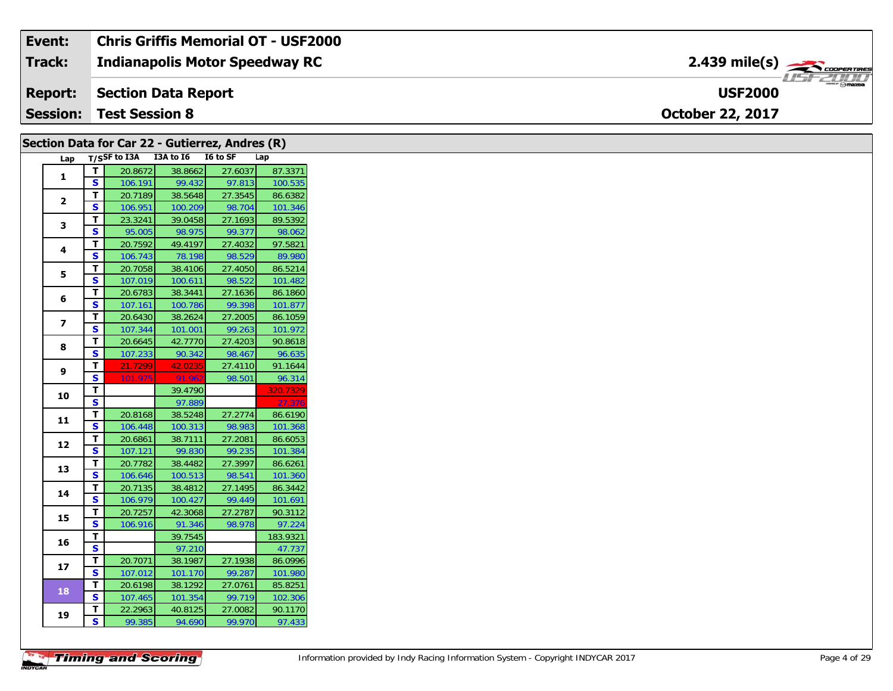| Event:          | Chris Griffis Memorial OT - USF2000   |                             |
|-----------------|---------------------------------------|-----------------------------|
| <b>Track:</b>   | <b>Indianapolis Motor Speedway RC</b> | 2.439 mile(s) $\rightarrow$ |
| <b>Report:</b>  | Section Data Report                   | " ⊙mazpa<br><b>USF2000</b>  |
| <b>Session:</b> | <b>Test Session 8</b>                 | <b>October 22, 2017</b>     |

|                         |                          | Section Data for Car 22 - Gutierrez, Andres (R) |                    |                   |                    |
|-------------------------|--------------------------|-------------------------------------------------|--------------------|-------------------|--------------------|
| Lap                     |                          | T/SSF to I3A I3A to I6 I6 to SF                 |                    |                   | Lap                |
| 1                       | $\mathbf T$              | 20.8672                                         | 38.8662            | 27.6037           | 87.3371            |
|                         | S                        | 106.191                                         | 99.432             | 97.813            | 100.535            |
| $\overline{2}$          | T                        | 20.7189                                         | 38.5648            | 27.3545           | 86.6382            |
|                         | S                        | 106.951                                         | 100.209            | 98.704            | 101.346            |
| 3                       | $\mathbf{T}$             | 23.3241                                         | 39.0458            | 27.1693           | 89.5392            |
|                         | $\mathbf{s}$             | 95.005                                          | 98.975             | 99.377            | 98.062             |
| 4                       | T                        | 20.7592                                         | 49.4197            | 27.4032           | 97.5821            |
|                         | <b>S</b>                 | 106.743                                         | 78.198             | 98.529            | 89.980             |
| 5                       | T                        | 20.7058                                         | 38.4106            | 27.4050           | 86.5214            |
|                         | $\overline{\mathbf{s}}$  | 107.019                                         | 100.611            | 98.522            | 101.482            |
| 6                       | $\overline{L}$           | 20.6783                                         | 38.3441            | 27.1636           | 86.1860            |
|                         | S                        | 107.161                                         | 100.786            | 99.398            | 101.877            |
| $\overline{\mathbf{z}}$ | T                        | 20.6430                                         | 38.2624            | 27.2005           | 86.1059            |
|                         | <b>S</b>                 | 107.344                                         | 101.001            | 99.263            | 101.972            |
| 8                       | T                        | 20.6645                                         | 42.7770            | 27.4203           | 90.8618            |
|                         | $\mathbf{s}$             | 107.233                                         | 90.342             | 98.467            | 96.635             |
| 9                       | T                        | 21.7299                                         | 42.0235            | 27.4110           | 91.1644            |
|                         | <b>S</b>                 | 101.975                                         | 91.962             | 98.501            | 96.314             |
| 10                      | T.                       |                                                 | 39.4790            |                   | 320.7329           |
|                         | $\overline{\mathbf{s}}$  |                                                 | 97.889             |                   | 27.376             |
| 11                      | T                        | 20.8168                                         | 38.5248            | 27.2774           | 86.6190            |
|                         | <b>S</b>                 | 106.448                                         | 100.313            | 98.983            | 101.368            |
| 12                      | T                        | 20.6861                                         | 38.7111            | 27.2081           | 86.6053            |
|                         | <b>S</b>                 | 107.121                                         | 99.830             | 99.235            | 101.384            |
| 13                      | T                        | 20.7782                                         | 38.4482            | 27.3997           | 86.6261            |
|                         | $\mathbf{s}$             | 106.646                                         | 100.513            | 98.541            | 101.360            |
| 14                      | T                        | 20.7135                                         | 38.4812            | 27.1495           | 86.3442            |
|                         | S                        | 106.979                                         | 100.427            | 99.449            | 101.691            |
| 15                      | $\mathbf T$              | 20.7257                                         | 42.3068            | 27.2787           | 90.3112            |
|                         | S                        | 106.916                                         | 91.346             | 98.978            | 97.224             |
| 16                      | T.                       |                                                 | 39.7545            |                   | 183.9321           |
|                         | $\mathbf{s}$             |                                                 | 97.210             |                   | 47.737             |
| 17                      | T                        | 20.7071                                         | 38.1987            | 27.1938           | 86.0996            |
|                         | <b>S</b><br>$\mathbf{T}$ | 107.012                                         | 101.170            | 99.287            | 101.980            |
| 18                      | $\mathbf{s}$             | 20.6198<br>107.465                              | 38.1292<br>101.354 | 27.0761<br>99.719 | 85.8251<br>102.306 |
|                         | T.                       | 22.2963                                         | 40.8125            | 27.0082           | 90.1170            |
| 19                      | S.                       |                                                 |                    |                   |                    |
|                         |                          | 99.385                                          | 94.690             | 99.970            | 97.433             |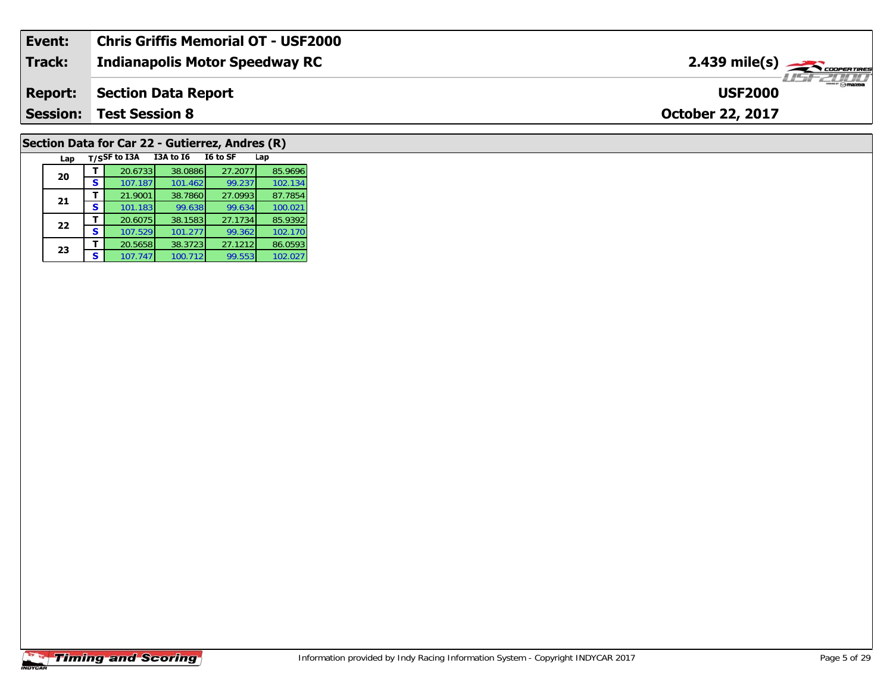| Event:          | <b>Chris Griffis Memorial OT - USF2000</b> |                                              |
|-----------------|--------------------------------------------|----------------------------------------------|
| Track:          | <b>Indianapolis Motor Speedway RC</b>      | $2.439$ mile(s) $\frac{1}{2.48}$ coorentines |
| <b>Report:</b>  | Section Data Report                        | <b>USF2000</b>                               |
| <b>Session:</b> | <b>Test Session 8</b>                      | <b>October 22, 2017</b>                      |

## **Section Data for Car 22 - Gutierrez, Andres (R)**

| Lap |   | T/SSF to I3A | <b>I3A to 16</b> | I6 to SF | Lap     |
|-----|---|--------------|------------------|----------|---------|
| 20  |   | 20.6733      | 38.0886          | 27.2077  | 85.9696 |
|     | s | 107.187      | 101.462          | 99.237   | 102.134 |
| 21  |   | 21.9001      | 38.7860          | 27.0993  | 87.7854 |
|     | S | 101.183      | 99.638           | 99.634   | 100.021 |
| 22  |   | 20.6075      | 38.1583          | 27.1734  | 85.9392 |
|     | s | 107.529      | 101.277          | 99.362   | 102.170 |
| 23  |   | 20.5658      | 38.3723          | 27.1212  | 86.0593 |
|     | s | 107.747      | 100.712          | 99.553   | 102.027 |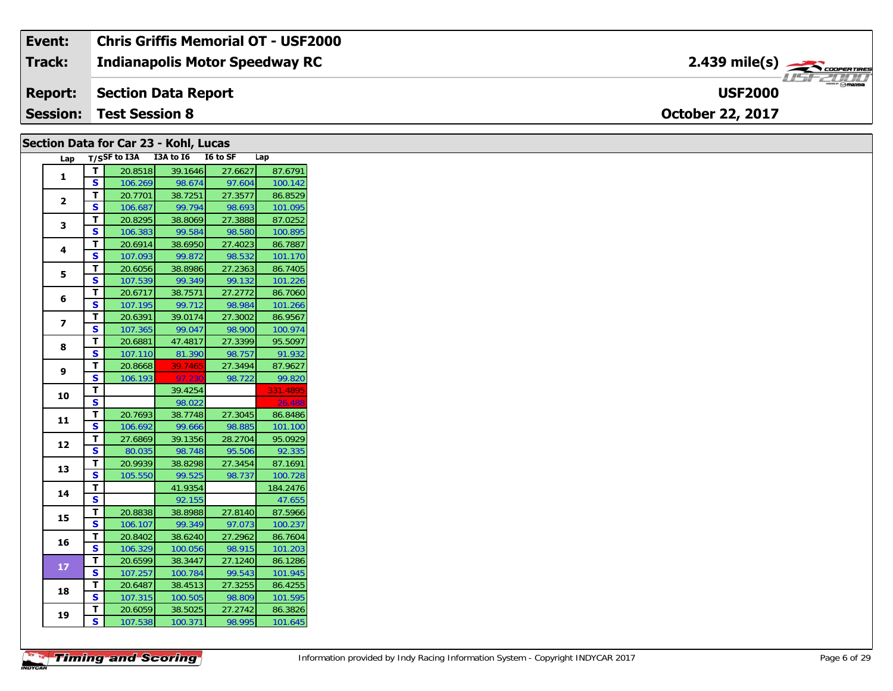| Event:          | <b>Chris Griffis Memorial OT - USF2000</b> |                                        |
|-----------------|--------------------------------------------|----------------------------------------|
| <b>Track:</b>   | <b>Indianapolis Motor Speedway RC</b>      | 2.439 mile(s) $\rightarrow$ COOPERTING |
| <b>Report:</b>  | Section Data Report                        | $m = \bigcirc$ mazoa<br><b>USF2000</b> |
| <b>Session:</b> | <b>Test Session 8</b>                      | <b>October 22, 2017</b>                |

#### **Section Data for Car 23 - Kohl, Lucas**

| Lap                     |                         | $T/S$ SF to I3A | I3A to I6 | I6 to SF | Lap      |
|-------------------------|-------------------------|-----------------|-----------|----------|----------|
| $\mathbf{1}$            | т                       | 20.8518         | 39.1646   | 27.6627  | 87.6791  |
|                         | Ś                       | 106.269         | 98.674    | 97.604   | 100.142  |
|                         | т                       | 20.7701         | 38.7251   | 27.3577  | 86.8529  |
| $\overline{2}$          | S                       | 106.687         | 99.794    | 98.693   | 101.095  |
|                         | Т                       | 20.8295         | 38.8069   | 27.3888  | 87.0252  |
| 3                       | S                       | 106.383         | 99.584    | 98.580   | 100.895  |
| 4                       | Т                       | 20.6914         | 38.6950   | 27.4023  | 86.7887  |
|                         | S                       | 107.093         | 99.872    | 98.532   | 101.170  |
| 5                       | T                       | 20.6056         | 38.8986   | 27.2363  | 86.7405  |
|                         | S                       | 107.539         | 99.349    | 99.132   | 101.226  |
| 6                       | T                       | 20.6717         | 38.7571   | 27.2772  | 86.7060  |
|                         | S                       | 107.195         | 99.712    | 98.984   | 101.266  |
| $\overline{\mathbf{z}}$ | T                       | 20.6391         | 39.0174   | 27.3002  | 86.9567  |
|                         | S                       | 107.365         | 99.047    | 98.900   | 100.974  |
| 8                       | т                       | 20.6881         | 47.4817   | 27.3399  | 95.5097  |
|                         | S                       | 107.110         | 81.390    | 98.757   | 91.932   |
| 9                       | Т                       | 20.8668         | 39.7465   | 27.3494  | 87.9627  |
|                         | S                       | 106.193         | 97.230    | 98.722   | 99.820   |
| 10                      | T                       |                 | 39.4254   |          | 331.4895 |
|                         | S                       |                 | 98.022    |          | 26.488   |
| 11                      | T.                      | 20.7693         | 38.7748   | 27.3045  | 86.8486  |
|                         | S                       | 106.692         | 99.666    | 98.885   | 101.100  |
| 12                      | т                       | 27.6869         | 39.1356   | 28.2704  | 95.0929  |
|                         | S                       | 80.035          | 98.748    | 95.506   | 92.335   |
| 13                      | T                       | 20.9939         | 38.8298   | 27.3454  | 87.1691  |
|                         | S                       | 105.550         | 99.525    | 98.737   | 100.728  |
| 14                      | т                       |                 | 41.9354   |          | 184.2476 |
|                         | S                       |                 | 92.155    |          | 47.655   |
| 15                      | Т                       | 20.8838         | 38.8988   | 27.8140  | 87.5966  |
|                         | S                       | 106.107         | 99.349    | 97.073   | 100.237  |
| 16                      | T                       | 20.8402         | 38.6240   | 27.2962  | 86.7604  |
|                         | S                       | 106.329         | 100.056   | 98.915   | 101.203  |
| 17                      | т                       | 20.6599         | 38.3447   | 27.1240  | 86.1286  |
|                         | S                       | 107.257         | 100.784   | 99.543   | 101.945  |
| 18                      | Τ                       | 20.6487         | 38.4513   | 27.3255  | 86.4255  |
|                         | S                       | 107.315         | 100.505   | 98.809   | 101.595  |
| 19                      | т                       | 20.6059         | 38.5025   | 27.2742  | 86.3826  |
|                         | $\overline{\mathbf{s}}$ | 107.538         | 100.371   | 98.995   | 101.645  |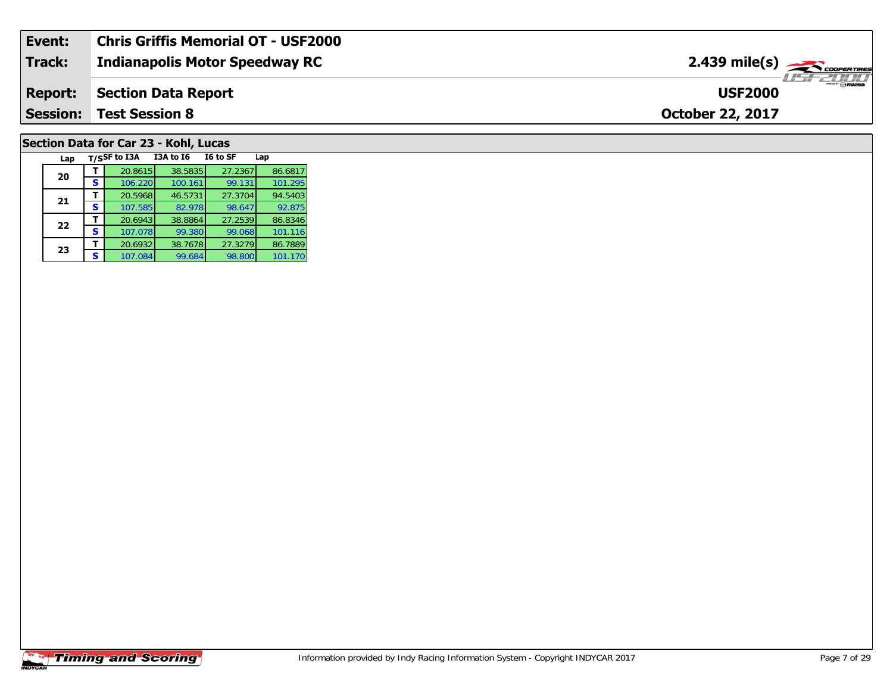| Event:          | Chris Griffis Memorial OT - USF2000   |                                               |
|-----------------|---------------------------------------|-----------------------------------------------|
| <b>Track:</b>   | <b>Indianapolis Motor Speedway RC</b> | $2.439$ mile(s) $\frac{1}{2.48}$ coorer Times |
| <b>Report:</b>  | Section Data Report                   | $ \theta$ mazoa<br><b>USF2000</b>             |
| <b>Session:</b> | <b>Test Session 8</b>                 | <b>October 22, 2017</b>                       |
|                 |                                       |                                               |

#### **Section Data for Car 23 - Kohl, Lucas**

| Lap |   | T/SSF to I3A | <b>I3A to 16</b> | I6 to SF | Lap     |
|-----|---|--------------|------------------|----------|---------|
| 20  |   | 20.8615      | 38.5835          | 27.2367  | 86.6817 |
|     | s | 106.220      | 100.161          | 99.131   | 101.295 |
| 21  |   | 20.5968      | 46.5731          | 27.3704  | 94.5403 |
|     | S | 107.585      | 82.978           | 98.647   | 92.875  |
| 22  |   | 20.6943      | 38.8864          | 27.2539  | 86.8346 |
|     | S | 107.078      | 99.380           | 99.068   | 101.116 |
| 23  |   | 20.6932      | 38.7678          | 27.3279  | 86.7889 |
|     | S | 107.084      | 99.684           | 98.800   | 101.170 |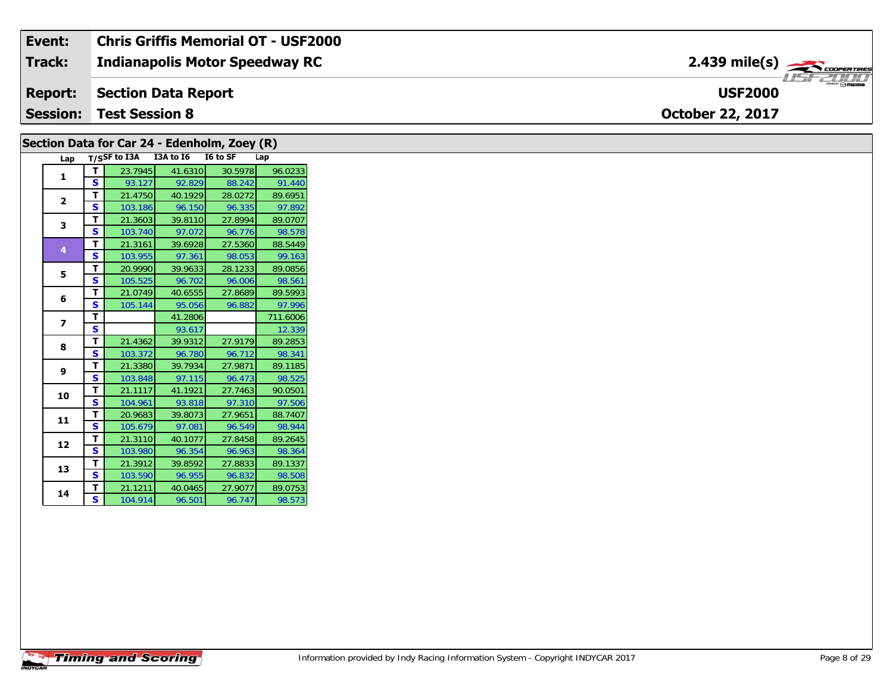| Event:          | <b>Chris Griffis Memorial OT - USF2000</b> |                                                                                                                                                                                                                                                                                                                                                                                                                                                                                                   |
|-----------------|--------------------------------------------|---------------------------------------------------------------------------------------------------------------------------------------------------------------------------------------------------------------------------------------------------------------------------------------------------------------------------------------------------------------------------------------------------------------------------------------------------------------------------------------------------|
| <b>Track:</b>   | <b>Indianapolis Motor Speedway RC</b>      |                                                                                                                                                                                                                                                                                                                                                                                                                                                                                                   |
| <b>Report:</b>  | Section Data Report                        | $\overline{\phantom{a}}$ $\overline{\phantom{a}}$ $\overline{\phantom{a}}$ $\overline{\phantom{a}}$ $\overline{\phantom{a}}$ $\overline{\phantom{a}}$ $\overline{\phantom{a}}$ $\overline{\phantom{a}}$ $\overline{\phantom{a}}$ $\overline{\phantom{a}}$ $\overline{\phantom{a}}$ $\overline{\phantom{a}}$ $\overline{\phantom{a}}$ $\overline{\phantom{a}}$ $\overline{\phantom{a}}$ $\overline{\phantom{a}}$ $\overline{\phantom{a}}$ $\overline{\phantom{a}}$ $\overline{\$<br><b>USF2000</b> |
| <b>Session:</b> | <b>Test Session 8</b>                      | <b>October 22, 2017</b>                                                                                                                                                                                                                                                                                                                                                                                                                                                                           |

#### **Lap T/SSF to I3A I3A to I6 I6 to SF Lap 1T** 23.7945 41.6310 30.5978 96.0233<br>**S** 93.127 92.829 88.242 91.440 **2 <sup>T</sup>** 21.4750 40.1929 28.0272 89.6951 **<sup>S</sup>** 103.186 96.150 96.335 97.89297.892 **3T** 21.3603 39.8110 27.8994 89.0707<br>**S** 103.740 97.072 96.776 98.578 **4 <sup>T</sup>** 21.3161 39.6928 27.5360 88.5449 **<sup>S</sup>** 103.955 97.361 98.053 99.16399.163 **5 <sup>T</sup>** 20.9990 39.9633 28.1233 89.0856 **<sup>S</sup>** 105.525 96.702 96.006 98.561**6 <sup>T</sup>** 21.0749 40.6555 27.8689 89.5993 **<sup>S</sup>** 105.144 95.056 96.882 97.996**7T** 41.2806 711.6006<br>**S** 93.617 12.339 12.339 **8 <sup>T</sup>** 21.4362 39.9312 27.9179 89.2853 **<sup>S</sup>** 103.372 96.780 96.712 98.341**9 <sup>T</sup>** 21.3380 39.7934 27.9871 89.1185 **<sup>S</sup>** 103.848 97.115 96.473 98.52598.525 **10 <sup>T</sup>** 21.1117 41.1921 27.7463 90.0501 **<sup>S</sup>** 104.961 93.818 97.310 97.506**11 <sup>T</sup>** 20.9683 39.8073 27.9651 88.7407 **<sup>S</sup>** 105.679 97.081 96.549 98.94498.944 **12 <sup>T</sup>** 21.3110 40.1077 27.8458 89.2645 **<sup>S</sup>** 103.980 96.354 96.963 98.36498.364 **13T** 21.3912 39.8592 27.8833 89.1337<br>**S** 103.590 96.955 96.832 98.508 98.508 **Section Data for Car 24 - Edenholm, Zoey (R)**

98.573



**<sup>T</sup>** 21.1211 40.0465 27.9077 89.0753 **<sup>S</sup>** 104.914 96.501 96.747 98.573

**14**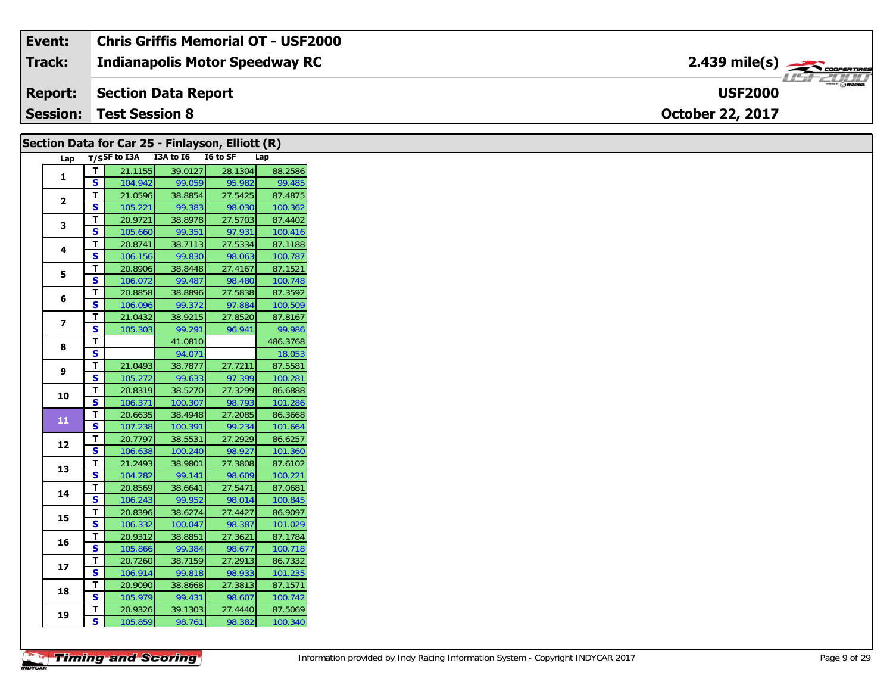#### **Event: Chris Griffis Memorial OT - USF2000** 2.439 mile(s) **2.439 miles Indianapolis Motor Speedway RC Track:** USF 2000 **USF2000Report: Section Data Report Session:October 22, 2017 Test Session 8**

|                |                         | Section Data for Car 25 - Finlayson, Elliott (R) |                   |                   |                   |
|----------------|-------------------------|--------------------------------------------------|-------------------|-------------------|-------------------|
| Lap            |                         | T/SSF to I3A I3A to I6 I6 to SF                  |                   |                   | Lap               |
| 1              | $\mathbf T$             | 21.1155                                          | 39.0127           | 28.1304           | 88.2586           |
|                | S                       | 104.942                                          | 99.059            | 95.982            | 99.485            |
| $\mathbf{2}$   | T                       | 21.0596                                          | 38.8854           | 27.5425           | 87.4875           |
|                | S                       | 105.221                                          | 99.383            | 98.030            | 100.362           |
| 3              | T.                      | 20.9721                                          | 38.8978           | 27.5703           | 87.4402           |
|                | S                       | 105.660                                          | 99.351            | 97.931            | 100.416           |
| 4              | T                       | 20.8741                                          | 38.7113           | 27.5334           | 87.1188           |
|                | $\mathbf{s}$            | 106.156                                          | 99.830            | 98.063            | 100.787           |
| 5              | T                       | 20.8906                                          | 38.8448           | 27.4167           | 87.1521           |
|                | S                       | 106.072                                          | 99.487            | 98.480            | 100.748           |
| 6              | T                       | 20.8858                                          | 38.8896           | 27.5838           | 87.3592           |
|                | <b>S</b><br>T           | 106.096                                          | 99.372<br>38.9215 | 97.884            | 100.509           |
| $\overline{7}$ | S                       | 21.0432<br>105.303                               | 99.291            | 27.8520<br>96.941 | 87.8167<br>99.986 |
|                | $\mathbf T$             |                                                  | 41.0810           |                   | 486.3768          |
| 8              | $\mathbf{s}$            |                                                  | 94.071            |                   | 18.053            |
|                | $\mathbf T$             | 21.0493                                          | 38.7877           | 27.7211           | 87.5581           |
| 9              | <b>S</b>                | 105.272                                          | 99.633            | 97.399            | 100.281           |
|                | T                       | 20.8319                                          | 38.5270           | 27.3299           | 86.6888           |
| 10             | S                       | 106.371                                          | 100.307           | 98.793            | 101.286           |
|                | $\mathbf{T}$            | 20.6635                                          | 38.4948           | 27.2085           | 86.3668           |
| 11             | S                       | 107.238                                          | 100.391           | 99.234            | 101.664           |
|                | T                       | 20.7797                                          | 38.5531           | 27.2929           | 86.6257           |
| 12             | S                       | 106.638                                          | 100.240           | 98.927            | 101.360           |
|                | T                       | 21.2493                                          | 38.9801           | 27.3808           | 87.6102           |
| 13             | <b>S</b>                | 104.282                                          | 99.141            | 98.609            | 100.221           |
| 14             | T                       | 20.8569                                          | 38.6641           | 27.5471           | 87.0681           |
|                | S                       | 106.243                                          | 99.952            | 98.014            | 100.845           |
| 15             | T                       | 20.8396                                          | 38.6274           | 27.4427           | 86.9097           |
|                | $\mathbf{s}$            | 106.332                                          | 100.047           | 98.387            | 101.029           |
| 16             | Т                       | 20.9312                                          | 38.8851           | 27.3621           | 87.1784           |
|                | S                       | 105.866                                          | 99.384            | 98.677            | 100.718           |
| 17             | $\overline{\mathbf{r}}$ | 20.7260                                          | 38.7159           | 27.2913           | 86.7332           |
|                | S                       | 106.914                                          | 99.818            | 98.933            | 101.235           |
| 18             | T                       | 20.9090                                          | 38.8668           | 27.3813           | 87.1571           |
|                | <b>S</b>                | 105.979                                          | 99.431            | 98.607            | 100.742           |
| 19             | T                       | 20.9326                                          | 39.1303           | 27.4440           | 87.5069           |
|                | $\mathbf{s}$            | 105.859                                          | 98.761            | 98.382            | 100.340           |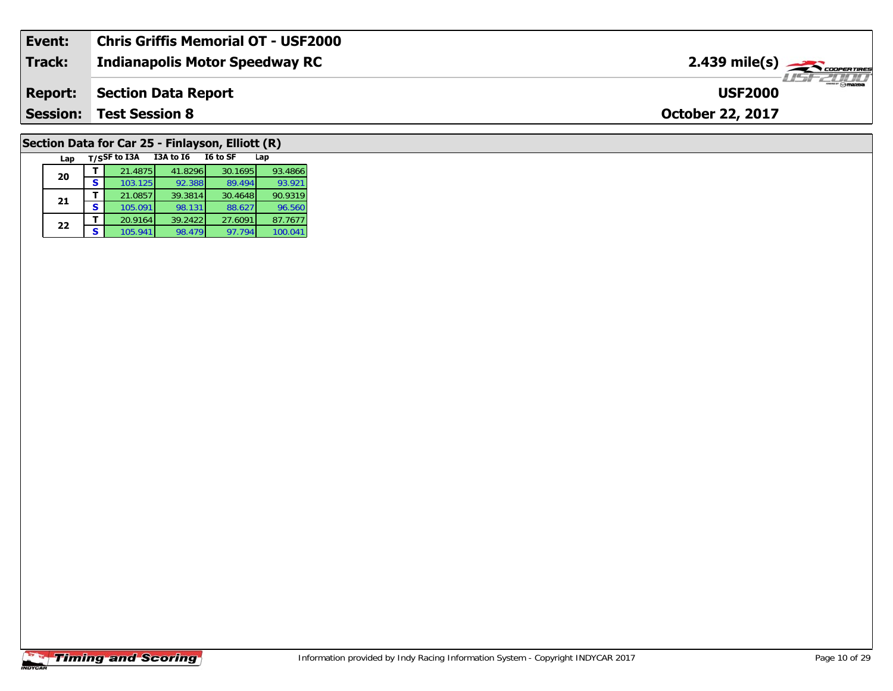| Event:         | Chris Griffis Memorial OT - USF2000 |                                                       |
|----------------|-------------------------------------|-------------------------------------------------------|
| Track:         | Indianapolis Motor Speedway RC      | $2.439$ mile(s) $\overbrace{\hspace{2cm}}$ coorerings |
| <b>Report:</b> | Section Data Report                 | " <b>Omazpa</b><br><b>USF2000</b>                     |
|                | <b>Session: Test Session 8</b>      | <b>October 22, 2017</b>                               |
|                |                                     |                                                       |

## **Section Data for Car 25 - Finlayson, Elliott (R)**

| Lap |   | T/SSF to I3A | <b>I3A to 16</b> | I6 to SF | Lap     |
|-----|---|--------------|------------------|----------|---------|
| 20  |   | 21.4875      | 41.8296          | 30.1695  | 93.4866 |
|     | s | 103.125      | 92.388           | 89.494   | 93.921  |
| 21  |   | 21.0857      | 39.3814          | 30.4648  | 90.9319 |
|     | s | 105.091      | 98.131           | 88.627   | 96.560  |
| 22  |   | 20.9164      | 39.2422          | 27.6091  | 87.7677 |
|     | S | 105.941      | 98.479           | 97.794   | 100.041 |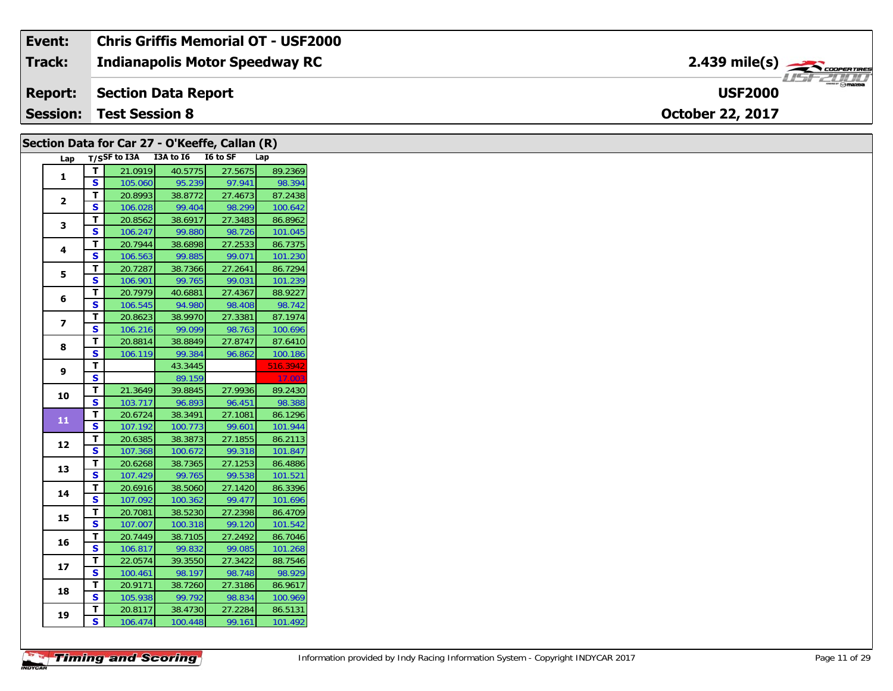| Event:          | <b>Chris Griffis Memorial OT - USF2000</b> |                                          |
|-----------------|--------------------------------------------|------------------------------------------|
| Track:          | <b>Indianapolis Motor Speedway RC</b>      | $2.439$ mile(s) $\rightarrow$ coorewines |
| <b>Report:</b>  | Section Data Report                        | $\mathbb{R}$ mazon<br><b>USF2000</b>     |
| <b>Session:</b> | <b>Test Session 8</b>                      | <b>October 22, 2017</b>                  |

|                |                         |                                     |         |         | Section Data for Car 27 - O'Keeffe, Callan (R) |          |
|----------------|-------------------------|-------------------------------------|---------|---------|------------------------------------------------|----------|
|                |                         | Lap T/SSF to I3A I3A to I6 I6 to SF |         |         |                                                | Lap      |
|                | T                       | 21.0919                             |         | 40.5775 | 27.5675                                        | 89.2369  |
| 1              | S.                      | 105.060                             |         | 95.239  | 97.941                                         | 98.394   |
|                | T.                      | 20.8993                             |         | 38.8772 | 27.4673                                        | 87.2438  |
| $\mathbf{2}$   | S.                      | 106.028                             |         | 99.404  | 98.299                                         | 100.642  |
| 3              | T                       | 20.8562                             | 38.6917 |         | 27.3483                                        | 86.8962  |
|                | S.                      | 106.247                             |         | 99.880  | 98.726                                         | 101.045  |
| 4              | т                       | 20.7944                             |         | 38.6898 | 27.2533                                        | 86.7375  |
|                | S                       | 106.563                             |         | 99.885  | 99.071                                         | 101.230  |
| 5              | T.                      | 20.7287                             |         | 38.7366 | 27.2641                                        | 86.7294  |
|                | S                       | 106.901                             |         | 99.765  | 99.031                                         | 101.239  |
| 6              | T.                      | 20.7979                             | 40.6881 |         | 27.4367                                        | 88.9227  |
|                | S.                      | 106.545                             |         | 94.980  | 98.408                                         | 98.742   |
| $\overline{ }$ | т                       | 20.8623                             | 38.9970 |         | 27.3381                                        | 87.1974  |
|                | S.                      | 106.216                             |         | 99.099  | 98.763                                         | 100.696  |
| 8              | T                       | 20.8814                             |         | 38.8849 | 27.8747                                        | 87.6410  |
|                | S                       | 106.119                             |         | 99.384  | 96.862                                         | 100.186  |
| 9              | T                       |                                     |         | 43.3445 |                                                | 516.3942 |
|                | S.                      |                                     |         | 89.159  |                                                | 17.00    |
| 10             | T                       | 21.3649                             |         | 39.8845 | 27.9936                                        | 89.2430  |
|                | S                       | 103.717                             |         | 96.893  | 96.451                                         | 98.388   |
| 11             | T                       | 20.6724                             | 38.3491 |         | 27.1081                                        | 86.1296  |
|                | $\overline{\mathbf{s}}$ | 107.192                             |         | 100.773 | 99.601                                         | 101.944  |
| 12             | T.                      | 20.6385                             |         | 38.3873 | 27.1855                                        | 86.2113  |
|                | <b>S</b>                | 107.368                             | 100.672 |         | 99.318                                         | 101.847  |
| 13             | T                       | 20.6268                             | 38.7365 |         | 27.1253                                        | 86.4886  |
|                | S                       | 107.429                             |         | 99.765  | 99.538                                         | 101.521  |
| 14             | T.                      | 20.6916                             |         | 38.5060 | 27.1420                                        | 86.3396  |
|                | S                       | 107.092                             |         | 100.362 | 99.477                                         | 101.696  |
| 15             | T.                      | 20.7081                             |         | 38.5230 | 27.2398                                        | 86.4709  |
|                | S.                      | 107.007                             |         | 100.318 | 99.120                                         | 101.542  |
| 16             | т                       | 20.7449                             | 38.7105 |         | 27.2492                                        | 86.7046  |
|                | S                       | 106.817                             |         | 99.832  | 99.085                                         | 101.268  |
| 17             | T.                      | 22.0574                             |         | 39.3550 | 27.3422                                        | 88.7546  |
|                | S                       | 100.461                             |         | 98.197  | 98.748                                         | 98.929   |
| 18             | T.                      | 20.9171                             |         | 38.7260 | 27.3186                                        | 86.9617  |
|                | S.                      | 105.938                             |         | 99.792  | 98.834                                         | 100.969  |
| 19             | T.                      | 20.8117                             |         | 38.4730 | 27.2284                                        | 86.5131  |
|                | S                       | 106.474                             |         | 100.448 | 99.161                                         | 101.492  |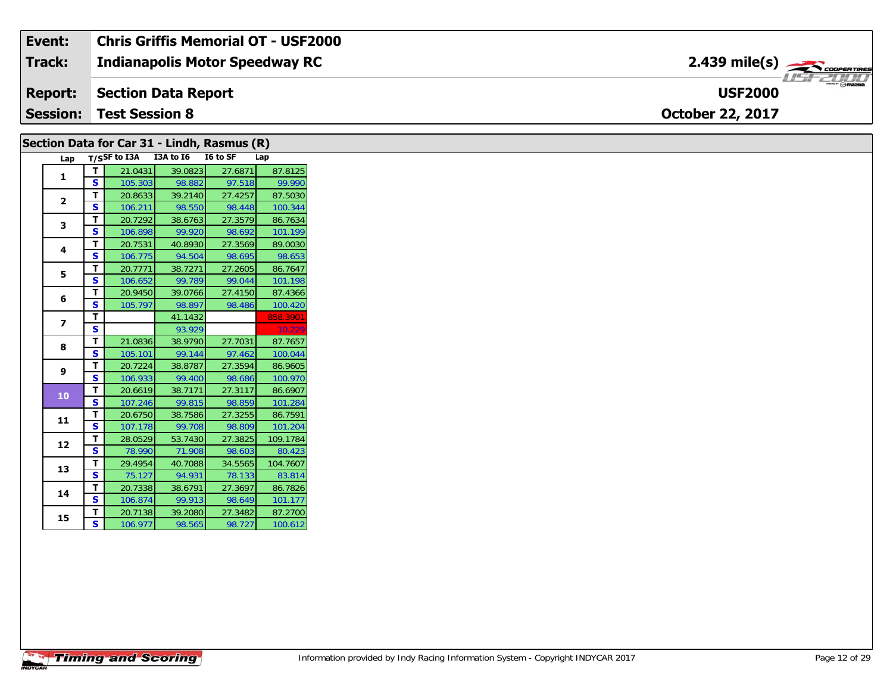#### **Indianapolis Motor Speedway RC Section Data Report October 22, 2017 Event: Chris Griffis Memorial OT - USF2000 Track: Report: Session: Test Session 8 USF2000**2.439 mile(s)

| Lap            |                         | T/SSF to I3A I3A to I6 |         | $\overline{16}$ to SF | Lap      |
|----------------|-------------------------|------------------------|---------|-----------------------|----------|
| 1              | T.                      | 21.0431                | 39.0823 | 27.6871               | 87.8125  |
|                | $\overline{\mathbf{s}}$ | 105.303                | 98.882  | 97.518                | 99.990   |
| $\mathbf{2}$   | T                       | 20.8633                | 39.2140 | 27.4257               | 87.5030  |
|                | S                       | 106.211                | 98.550  | 98.448                | 100.344  |
| 3              | T                       | 20.7292                | 38.6763 | 27.3579               | 86.7634  |
|                | $\mathbf{s}$            | 106.898                | 99.920  | 98.692                | 101.199  |
|                | T                       | 20.7531                | 40.8930 | 27.3569               | 89.0030  |
| 4              | S                       | 106.775                | 94.504  | 98.695                | 98.653   |
|                | T                       | 20.7771                | 38.7271 | 27.2605               | 86.7647  |
| 5              | S                       | 106.652                | 99.789  | 99.044                | 101.198  |
|                | T                       | 20.9450                | 39.0766 | 27.4150               | 87.4366  |
| 6              | $\mathbf{s}$            | 105.797                | 98.897  | 98.486                | 100.420  |
|                | $\overline{\mathsf{r}}$ |                        | 41.1432 |                       | 858.3901 |
| $\overline{ }$ | $\mathbf{s}$            |                        | 93.929  |                       | 10.229   |
|                | $\mathbf{T}$            | 21.0836                | 38.9790 | 27.7031               | 87.7657  |
| 8              | S                       | 105.101                | 99.144  | 97.462                | 100.044  |
|                | T                       | 20.7224                | 38.8787 | 27.3594               | 86.9605  |
| 9              | S                       | 106.933                | 99.400  | 98.686                | 100.970  |
|                | $\mathbf{T}$            | 20.6619                | 38.7171 | 27.3117               | 86.6907  |
| 10             | $\overline{\mathbf{s}}$ | 107.246                | 99.815  | 98.859                | 101.284  |
|                | $\mathbf{T}$            | 20.6750                | 38.7586 | 27.3255               | 86.7591  |
| 11             | S                       | 107.178                | 99.708  | 98.809                | 101.204  |
|                | T                       | 28.0529                | 53.7430 | 27.3825               | 109.1784 |
| 12             | S                       | 78.990                 | 71.908  | 98.603                | 80.423   |
|                | Τ                       | 29.4954                | 40.7088 | 34.5565               | 104.7607 |
| 13             | S                       | 75.127                 | 94.931  | 78.133                | 83.814   |
|                | T.                      | 20.7338                | 38.6791 | 27.3697               | 86.7826  |
| 14             | $\overline{\mathbf{s}}$ | 106.874                | 99.913  | 98.649                | 101.177  |
|                | T.                      | 20.7138                | 39.2080 | 27.3482               | 87.2700  |
| 15             | S                       | 106.977                | 98.565  | 98.727                | 100.612  |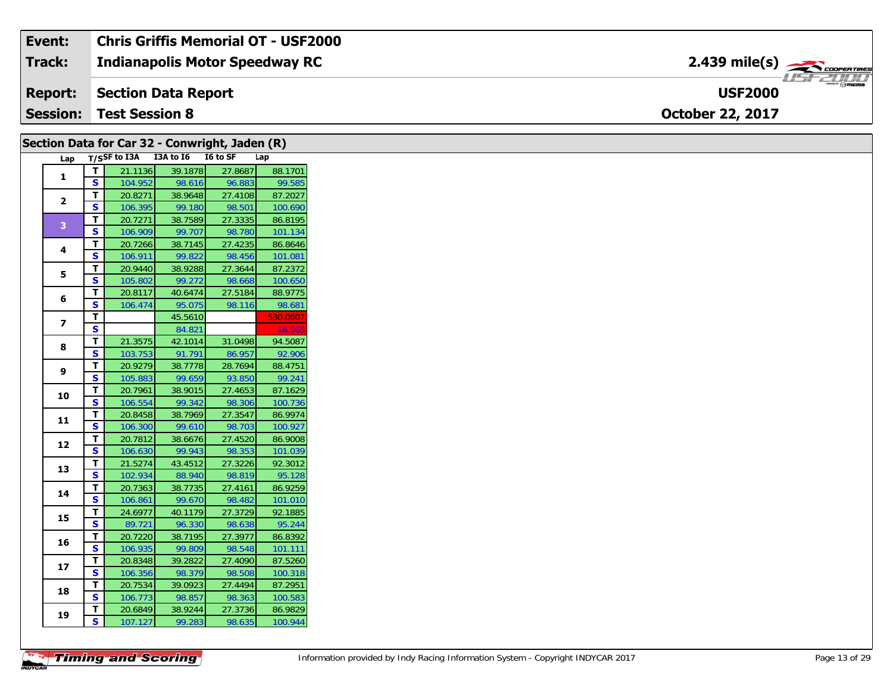| Event:          | <b>Chris Griffis Memorial OT - USF2000</b> |                                                       |
|-----------------|--------------------------------------------|-------------------------------------------------------|
| Track:          | <b>Indianapolis Motor Speedway RC</b>      | $2.439$ mile(s) $\overbrace{\hspace{2cm}}$ COOPERTING |
| <b>Report:</b>  | Section Data Report                        | 700 D D<br>$m = \odot$ mazpa<br><b>USF2000</b>        |
| <b>Session:</b> | <b>Test Session 8</b>                      | <b>October 22, 2017</b>                               |

|                         |                         | Section Data for Car 32 - Conwright, Jaden (R) |         |         |          |
|-------------------------|-------------------------|------------------------------------------------|---------|---------|----------|
|                         |                         | Lap T/SSF to I3A I3A to I6 I6 to SF            |         |         | Lap      |
| $\mathbf{1}$            | T                       | 21.1136                                        | 39.1878 | 27.8687 | 88.1701  |
|                         | S                       | 104.952                                        | 98.616  | 96.883  | 99.585   |
| $\mathbf{2}$            | $\mathbf T$             | 20.8271                                        | 38.9648 | 27.4108 | 87.2027  |
|                         | S                       | 106.395                                        | 99.180  | 98.501  | 100.690  |
| 3 <sup>°</sup>          | $\mathbf{T}$            | 20.7271                                        | 38.7589 | 27.3335 | 86.8195  |
|                         | S                       | 106.909                                        | 99.707  | 98.780  | 101.134  |
| 4                       | Т                       | 20.7266                                        | 38.7145 | 27.4235 | 86.8646  |
|                         | S                       | 106.911                                        | 99.822  | 98.456  | 101.081  |
| 5                       | T                       | 20.9440                                        | 38.9288 | 27.3644 | 87.2372  |
|                         | $\overline{\mathbf{s}}$ | 105.802                                        | 99.272  | 98.668  | 100.650  |
| 6                       | T                       | 20.8117                                        | 40.6474 | 27.5184 | 88.9775  |
|                         | ${\sf s}$               | 106.474                                        | 95.075  | 98.116  | 98.681   |
| $\overline{\mathbf{z}}$ | $\mathbf T$             |                                                | 45.5610 |         | 530.0607 |
|                         | $\mathbf{s}$            |                                                | 84.821  |         | 16.56    |
| 8                       | $\mathbf T$             | 21.3575                                        | 42.1014 | 31.0498 | 94.5087  |
|                         | $\mathbf{s}$            | 103.753                                        | 91.791  | 86.957  | 92.906   |
| 9                       | T                       | 20.9279                                        | 38.7778 | 28.7694 | 88.4751  |
|                         | S                       | 105.883                                        | 99.659  | 93.850  | 99.241   |
| 10                      | Т                       | 20.7961                                        | 38.9015 | 27.4653 | 87.1629  |
|                         | $\overline{\mathbf{s}}$ | 106.554                                        | 99.342  | 98.306  | 100.736  |
| 11                      | $\mathbf{T}$            | 20.8458                                        | 38.7969 | 27.3547 | 86.9974  |
|                         | $\mathbf{s}$            | 106.300                                        | 99.610  | 98.703  | 100.927  |
| 12                      | T                       | 20.7812                                        | 38.6676 | 27.4520 | 86.9008  |
|                         | S                       | 106.630                                        | 99.943  | 98.353  | 101.039  |
| 13                      | T                       | 21.5274                                        | 43.4512 | 27.3226 | 92.3012  |
|                         | $\overline{\mathbf{s}}$ | 102.934                                        | 88.940  | 98.819  | 95.128   |
| 14                      | T                       | 20.7363                                        | 38.7735 | 27.4161 | 86.9259  |
|                         | S                       | 106.861                                        | 99.670  | 98.482  | 101.010  |
| 15                      | T                       | 24.6977                                        | 40.1179 | 27.3729 | 92.1885  |
|                         | $\overline{\mathbf{s}}$ | 89.721                                         | 96.330  | 98.638  | 95.244   |
| 16                      | Т                       | 20.7220                                        | 38.7195 | 27.3977 | 86.8392  |
|                         | S                       | 106.935                                        | 99.809  | 98.548  | 101.111  |
| 17                      | T                       | 20.8348                                        | 39.2822 | 27.4090 | 87.5260  |
|                         | S                       | 106.356                                        | 98.379  | 98.508  | 100.318  |
| 18                      | T                       | 20.7534                                        | 39.0923 | 27.4494 | 87.2951  |
|                         | S                       | 106.773                                        | 98.857  | 98.363  | 100.583  |
| 19                      | T.                      | 20.6849                                        | 38.9244 | 27.3736 | 86.9829  |
|                         | $\mathbf{s}$            | 107.127                                        | 99.283  | 98.635  | 100.944  |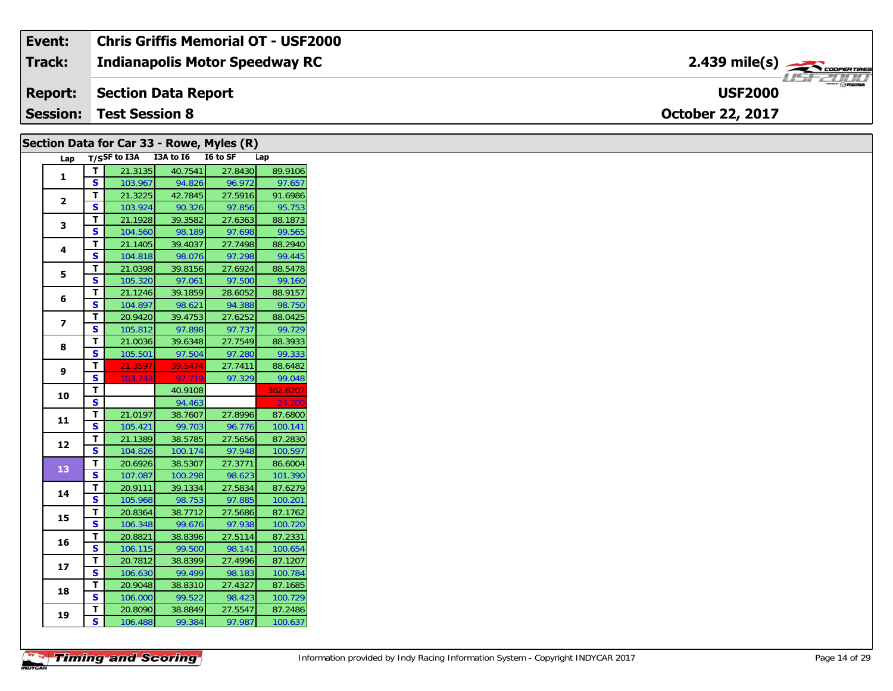| Event:          | Chris Griffis Memorial OT - USF2000   |                                        |
|-----------------|---------------------------------------|----------------------------------------|
| <b>Track:</b>   | <b>Indianapolis Motor Speedway RC</b> | $2.439$ mile(s) $\rightarrow$          |
| <b>Report:</b>  | Section Data Report                   | $m = \bigcirc$ mazoa<br><b>USF2000</b> |
| <b>Session:</b> | <b>Test Session 8</b>                 | <b>October 22, 2017</b>                |

|                |                         | Section Data for Car 33 - Rowe, Myles (R) |         |         |          |
|----------------|-------------------------|-------------------------------------------|---------|---------|----------|
|                |                         | Lap T/SSF to I3A I3A to I6 I6 to SF       |         |         | Lap      |
| 1              | $\mathbf{T}$            | 21.3135                                   | 40.7541 | 27.8430 | 89.9106  |
|                | $\mathbf{s}$            | 103.967                                   | 94.826  | 96.972  | 97.657   |
|                | T                       | 21.3225                                   | 42.7845 | 27.5916 | 91.6986  |
| $\overline{2}$ | <b>S</b>                | 103.924                                   | 90.326  | 97.856  | 95.753   |
| 3              | T.                      | 21.1928                                   | 39.3582 | 27.6363 | 88.1873  |
|                | S                       | 104.560                                   | 98.189  | 97.698  | 99.565   |
| 4              | T.                      | 21.1405                                   | 39.4037 | 27.7498 | 88.2940  |
|                | $\mathbf{s}$            | 104.818                                   | 98.076  | 97.298  | 99.445   |
| 5              | T.                      | 21.0398                                   | 39.8156 | 27.6924 | 88.5478  |
|                | S                       | 105.320                                   | 97.061  | 97.500  | 99.160   |
| 6              | T                       | 21.1246                                   | 39.1859 | 28.6052 | 88.9157  |
|                | S                       | 104.897                                   | 98.621  | 94.388  | 98.750   |
| $\overline{ }$ | T                       | 20.9420                                   | 39.4753 | 27.6252 | 88.0425  |
|                | $\mathbf{s}$            | 105.812                                   | 97.898  | 97.737  | 99.729   |
| 8              | T                       | 21.0036                                   | 39.6348 | 27.7549 | 88.3933  |
|                | $\mathbf{s}$            | 105.501                                   | 97.504  | 97.280  | 99.333   |
| 9              | T.                      | 21.3597                                   | 39.5474 | 27.7411 | 88.6482  |
|                | S                       | 103.743                                   | 97.719  | 97.329  | 99.048   |
| 10             | $\mathbf T$             |                                           | 40.9108 |         | 362.8207 |
|                | $\overline{\mathbf{s}}$ |                                           | 94.463  |         | 24.200   |
| 11             | T                       | 21.0197                                   | 38.7607 | 27.8996 | 87.6800  |
|                | S                       | 105.421                                   | 99.703  | 96.776  | 100.141  |
| 12             | T                       | 21.1389                                   | 38.5785 | 27.5656 | 87.2830  |
|                | <b>S</b>                | 104.826                                   | 100.174 | 97.948  | 100.597  |
| 13             | T.                      | 20.6926                                   | 38.5307 | 27.3771 | 86.6004  |
|                | S                       | 107.087                                   | 100.298 | 98.623  | 101.390  |
| 14             | T                       | 20.9111                                   | 39.1334 | 27.5834 | 87.6279  |
|                | S                       | 105.968                                   | 98.753  | 97.885  | 100.201  |
| 15             | T                       | 20.8364                                   | 38.7712 | 27.5686 | 87.1762  |
|                | $\overline{\mathbf{s}}$ | 106.348                                   | 99.676  | 97.938  | 100.720  |
| 16             | T                       | 20.8821                                   | 38.8396 | 27.5114 | 87.2331  |
|                | <b>S</b>                | 106.115                                   | 99.500  | 98.141  | 100.654  |
| 17             | T                       | 20.7812                                   | 38.8399 | 27.4996 | 87.1207  |
|                | S                       | 106.630                                   | 99.499  | 98.183  | 100.784  |
| 18             | T                       | 20.9048                                   | 38.8310 | 27.4327 | 87.1685  |
|                | S                       | 106.000                                   | 99.522  | 98.423  | 100.729  |
| 19             | T                       | 20.8090                                   | 38.8849 | 27.5547 | 87.2486  |
|                | $\overline{\mathbf{s}}$ | 106.488                                   | 99.384  | 97.987  | 100.637  |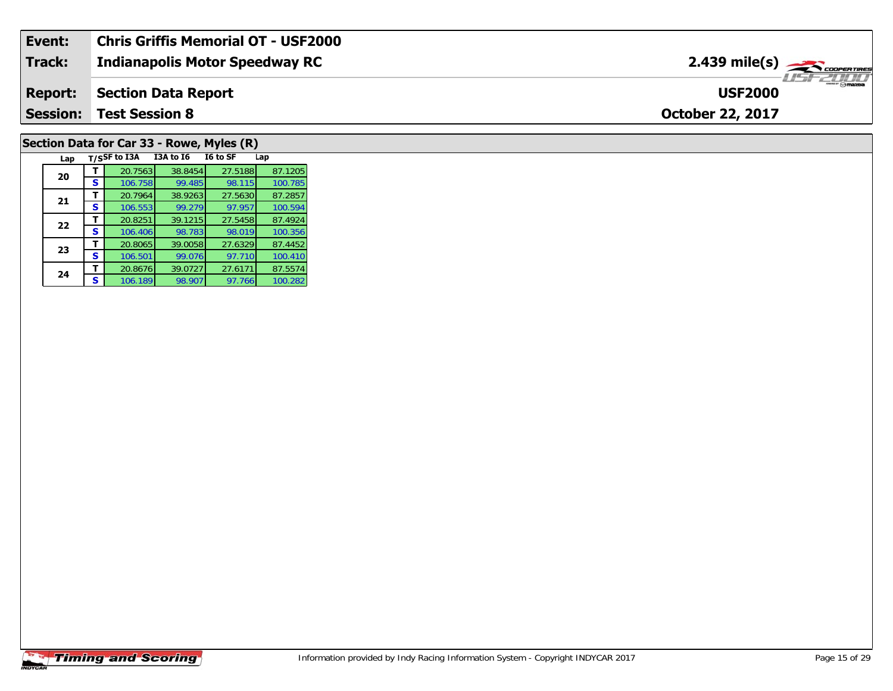| Event:          | <b>Chris Griffis Memorial OT - USF2000</b> |                                           |
|-----------------|--------------------------------------------|-------------------------------------------|
| <b>Track:</b>   | <b>Indianapolis Motor Speedway RC</b>      | $2.439$ mile(s) $\rightarrow$ coorentines |
| <b>Report:</b>  | <b>Section Data Report</b>                 | <b>USF2000</b>                            |
| <b>Session:</b> | <b>Test Session 8</b>                      | <b>October 22, 2017</b>                   |
|                 |                                            |                                           |

# **Section Data for Car 33 - Rowe, Myles (R)**

| Lap |   | T/SSF to I3A | <b>I3A to 16</b> | I6 to SF | Lap     |
|-----|---|--------------|------------------|----------|---------|
| 20  |   | 20.7563      | 38.8454          | 27.5188  | 87.1205 |
|     | S | 106.758      | 99.485           | 98.115   | 100.785 |
| 21  | т | 20.7964      | 38.9263          | 27.5630  | 87.2857 |
|     | S | 106.553      | 99.279           | 97.957   | 100.594 |
| 22  |   | 20.8251      | 39.1215          | 27.5458  | 87.4924 |
|     | S | 106.406      | 98.783           | 98.019   | 100.356 |
| 23  |   | 20.8065      | 39.0058          | 27.6329  | 87.4452 |
|     | s | 106.501      | 99.076           | 97.710   | 100.410 |
| 24  |   | 20.8676      | 39.0727          | 27.6171  | 87.5574 |
|     | s | 106.189      | 98.907           | 97.766   | 100.282 |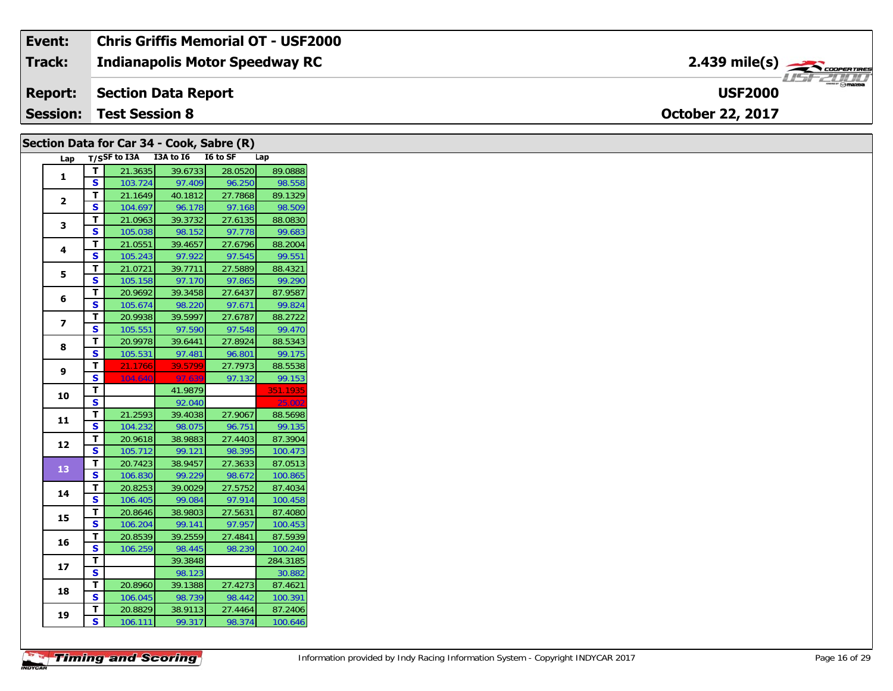| Event:         | <b>Chris Griffis Memorial OT - USF2000</b> |                                          |
|----------------|--------------------------------------------|------------------------------------------|
| Track:         | <b>Indianapolis Motor Speedway RC</b>      | $2.439$ mile(s) $\rightarrow$ COOPERTIRE |
| <b>Report:</b> | Section Data Report                        | $-1$ omazoa<br><b>USF2000</b>            |
|                | <b>Session: Test Session 8</b>             | <b>October 22, 2017</b>                  |

## Section Data for Car 34 - Cook, Sabre (R) Lap T/SSF to I3A I3A to I6 I6 to SF Lap<br>T | 21.3635 | 39.6733 | 28.0520 | 89.0888  $\Gamma$

| 1                        |                         | ∠ ⊥.ວບວວ⊺          | <u>37.0733.</u>   | ZO.UJZU           | 07.0000            |
|--------------------------|-------------------------|--------------------|-------------------|-------------------|--------------------|
|                          | S                       | 103.724            | 97.409            | 96.250            | 98.558             |
| $\overline{2}$           | т                       | 21.1649            | 40.1812           | 27.7868           | 89.1329            |
|                          | S                       | 104.697            | 96.178            | 97.168            | 98.509             |
| 3                        | т                       | 21.0963            | 39.3732           | 27.6135           | 88.0830            |
|                          | S                       | 105.038            | 98.152            | 97.778            | 99.683             |
| 4                        | T                       | 21.0551            | 39.4657           | 27.6796           | 88.2004            |
|                          | S                       | 105.243            | 97.922            | 97.545            | 99.551             |
| 5                        | т                       | 21.0721            | 39.7711           | 27.5889           | 88.4321            |
|                          | S                       | 105.158            | 97.170            | 97.865            | 99.290             |
| 6                        | т                       | 20.9692            | 39.3458           | 27.6437           | 87.9587            |
|                          | S                       | 105.674            | 98.220            | 97.671            | 99.824             |
| $\overline{\phantom{a}}$ | т                       | 20.9938            | 39.5997           | 27.6787           | 88.2722            |
|                          | S                       | 105.551            | 97.590            | 97.548            | 99.470             |
| 8                        | T.                      | 20.9978            | 39.6441           | 27.8924           | 88.5343            |
|                          | S                       | 105.531            | 97.481            | 96.801            | 99.175             |
| 9                        | т                       | 21.1766            | 39.5799           | 27.7973           | 88.5538            |
|                          | S                       | 104.640            | 97.639            | 97.132            | 99.153             |
| 10                       | T                       |                    | 41.9879           |                   | 351.1935           |
|                          |                         |                    |                   |                   |                    |
|                          | S                       |                    | 92.040            |                   | 25.002             |
|                          | T.                      | 21.2593            | 39.4038           | 27.9067           | 88.5698            |
| 11                       | S                       | 104.232            | 98.075            | 96.751            | 99.135             |
|                          | T                       | 20.9618            | 38.9883           | 27.4403           | 87.3904            |
| 12                       | S                       | 105.712            | 99.121            | 98.395            | 100.473            |
|                          | T                       | 20.7423            | 38.9457           | 27.3633           | 87.0513            |
| 13                       | S                       | 106.830            | 99.229            | 98.672            | 100.865            |
|                          | T                       | 20.8253            | 39.0029           | 27.5752           | 87.4034            |
| 14                       | S                       | 106.405            | 99.084            | 97.914            | 100.458            |
|                          | T                       | 20.8646            | 38.9803           | 27.5631           | 87.4080            |
| 15                       | $\overline{\mathbf{s}}$ | 106.204            | 99.141            | 97.957            | 100.453            |
|                          | Ŧ                       | 20.8539            | 39.2559           | 27.4841           | 87.5939            |
| 16                       | $\overline{\mathbf{s}}$ | 106.259            | 98.445            | 98.239            | 100.240            |
|                          | T                       |                    | 39.3848           |                   | 284.3185           |
| 17                       | Ś                       |                    | 98.123            |                   | 30.882             |
|                          | T                       | 20.8960            | 39.1388           | 27.4273           | 87.4621            |
| 18                       | S                       | 106.045            | 98.739            | 98.442            | 100.391            |
| 19                       | T<br>Ś                  | 20.8829<br>106.111 | 38.9113<br>99.317 | 27.4464<br>98.374 | 87.2406<br>100.646 |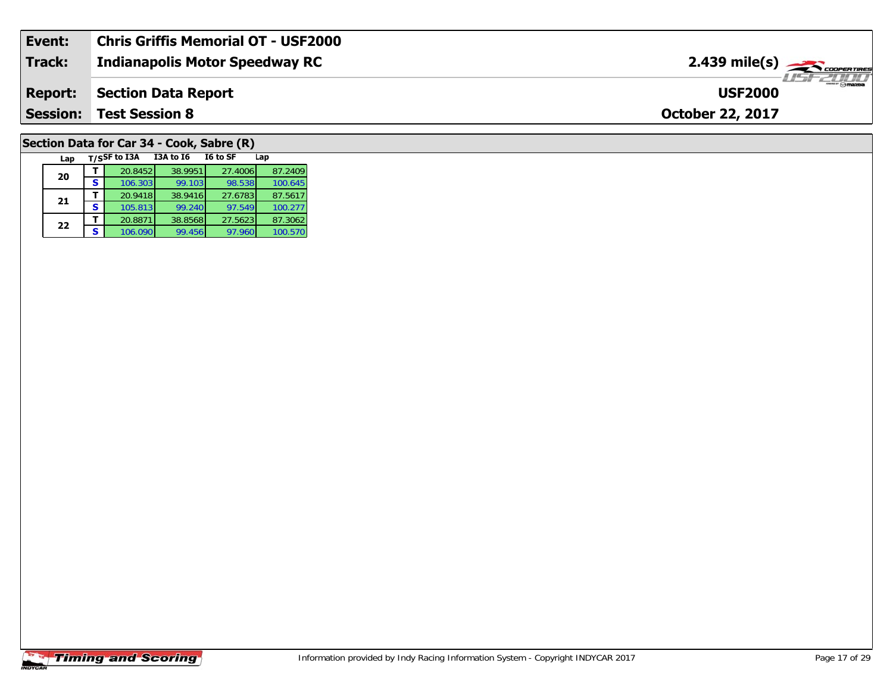| Event:          | <b>Chris Griffis Memorial OT - USF2000</b> |                                                |
|-----------------|--------------------------------------------|------------------------------------------------|
| Track:          | Indianapolis Motor Speedway RC             | $2.439$ mile(s) $\frac{1}{2.48}$ coorer Times  |
| <b>Report:</b>  | Section Data Report                        | $ \sim$ $\sim$ $\sim$ $\sim$<br><b>USF2000</b> |
| <b>Session:</b> | <b>Test Session 8</b>                      | <b>October 22, 2017</b>                        |
|                 |                                            |                                                |

## **Section Data for Car 34 - Cook, Sabre (R)**

| Lap |   | T/SSF to I3A | <b>I3A to 16</b> | I6 to SF | Lap     |
|-----|---|--------------|------------------|----------|---------|
| 20  |   | 20.8452      | 38.9951          | 27.4006  | 87.2409 |
|     | S | 106.303      | 99.103           | 98.538   | 100.645 |
| 21  |   | 20.9418      | 38.9416          | 27.6783  | 87.5617 |
|     | S | 105.813      | 99.240           | 97.549   | 100.277 |
| 22  |   | 20.8871      | 38.8568          | 27.5623  | 87.3062 |
|     | S | 106.090      | 99.456           | 97.960   | 100.570 |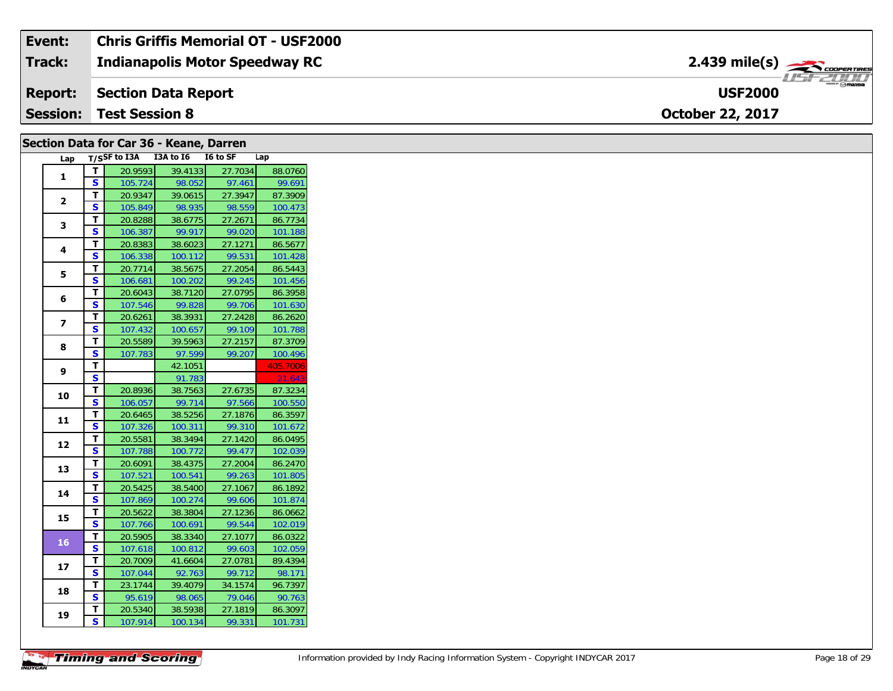| Event:          | <b>Chris Griffis Memorial OT - USF2000</b> |                                                                  |
|-----------------|--------------------------------------------|------------------------------------------------------------------|
| <b>Track:</b>   | <b>Indianapolis Motor Speedway RC</b>      | $2.439$ mile(s) $\overbrace{\hspace{2.5cm}}^{3.200$ concentrates |
| <b>Report:</b>  | Section Data Report                        | $m = F$ mazna<br><b>USF2000</b>                                  |
| <b>Session:</b> | <b>Test Session 8</b>                      | <b>October 22, 2017</b>                                          |

#### **Section Data for Car 36 - Keane, Darren**

| Lap |                         | T/SSF to I3A | I3A to I6 | I6 to SF | Lap      |
|-----|-------------------------|--------------|-----------|----------|----------|
| 1   | т                       | 20.9593      | 39.4133   | 27.7034  | 88.0760  |
|     | S                       | 105.724      | 98.052    | 97.461   | 99.691   |
|     | T                       | 20.9347      | 39.0615   | 27.3947  | 87.3909  |
| 2   | S                       | 105.849      | 98.935    | 98.559   | 100.473  |
|     | T                       | 20.8288      | 38.6775   | 27.2671  | 86.7734  |
| 3   | S                       | 106.387      | 99.917    | 99.020   | 101.188  |
| 4   | т                       | 20.8383      | 38.6023   | 27.1271  | 86.5677  |
|     | S                       | 106.338      | 100.112   | 99.531   | 101.428  |
|     | Т                       | 20.7714      | 38.5675   | 27.2054  | 86.5443  |
| 5   | S                       | 106.681      | 100.202   | 99.245   | 101.456  |
|     | Т                       | 20.6043      | 38.7120   | 27.0795  | 86.3958  |
| 6   | S                       | 107.546      | 99.828    | 99.706   | 101.630  |
|     | T                       | 20.6261      | 38.3931   | 27.2428  | 86.2620  |
| 7   | S                       | 107.432      | 100.657   | 99.109   | 101.788  |
| 8   | т                       | 20.5589      | 39.5963   | 27.2157  | 87.3709  |
|     | S                       | 107.783      | 97.599    | 99.207   | 100.496  |
|     | T                       |              | 42.1051   |          | 405.7006 |
| 9   | $\overline{\mathbf{s}}$ |              | 91.783    |          | 21.643   |
|     | т                       | 20.8936      | 38.7563   | 27.6735  | 87.3234  |
| 10  | S                       | 106.057      | 99.714    | 97.566   | 100.550  |
|     | T.                      | 20.6465      | 38.5256   | 27.1876  | 86.3597  |
| 11  | S                       | 107.326      | 100.311   | 99.310   | 101.672  |
|     | т                       | 20.5581      | 38.3494   | 27.1420  | 86.0495  |
| 12  | S                       | 107.788      | 100.772   | 99.477   | 102.039  |
| 13  | T                       | 20.6091      | 38.4375   | 27.2004  | 86.2470  |
|     | $\overline{\mathbf{s}}$ | 107.521      | 100.541   | 99.263   | 101.805  |
|     | т                       | 20.5425      | 38.5400   | 27.1067  | 86.1892  |
| 14  | S                       | 107.869      | 100.274   | 99.606   | 101.874  |
| 15  | T                       | 20.5622      | 38.3804   | 27.1236  | 86.0662  |
|     | S                       | 107.766      | 100.691   | 99.544   | 102.019  |
| 16  | т                       | 20.5905      | 38.3340   | 27.1077  | 86.0322  |
|     | S                       | 107.618      | 100.812   | 99.603   | 102.059  |
| 17  | т                       | 20.7009      | 41.6604   | 27.0781  | 89.4394  |
|     | S                       | 107.044      | 92.763    | 99.712   | 98.171   |
| 18  | т                       | 23.1744      | 39.4079   | 34.1574  | 96.7397  |
|     | S                       | 95.619       | 98.065    | 79.046   | 90.763   |
|     | T                       | 20.5340      | 38.5938   | 27.1819  | 86.3097  |
| 19  | $\overline{\mathbf{s}}$ | 107.914      | 100.134   | 99.331   | 101.731  |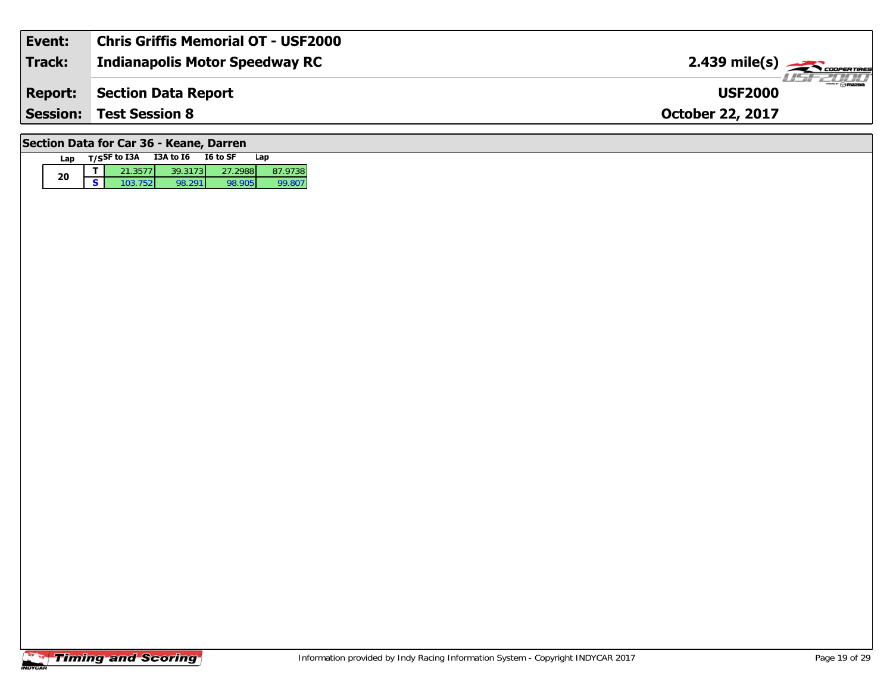| Event:         | <b>Chris Griffis Memorial OT - USF2000</b> |                                                                   |
|----------------|--------------------------------------------|-------------------------------------------------------------------|
| Track:         | <b>Indianapolis Motor Speedway RC</b>      | $2.439$ mile(s) $\frac{1}{\sqrt{2.600 \text{ cm} \cdot \text{m}}$ |
| <b>Report:</b> | Section Data Report                        | $\theta$ mazoa<br><b>USF2000</b>                                  |
|                | <b>Session: Test Session 8</b>             | <b>October 22, 2017</b>                                           |
|                |                                            |                                                                   |

## **Section Data for Car 36 - Keane, Darren**

| Lap | T/SSF to I3A | <b>I3A to 16</b> | I6 to SF | Lap     |
|-----|--------------|------------------|----------|---------|
| 20  | 21.3577      | 39.3173          | 27.2988  | 87.9738 |
|     | 103.7521     | 98 291           | 98.905   | 99.807  |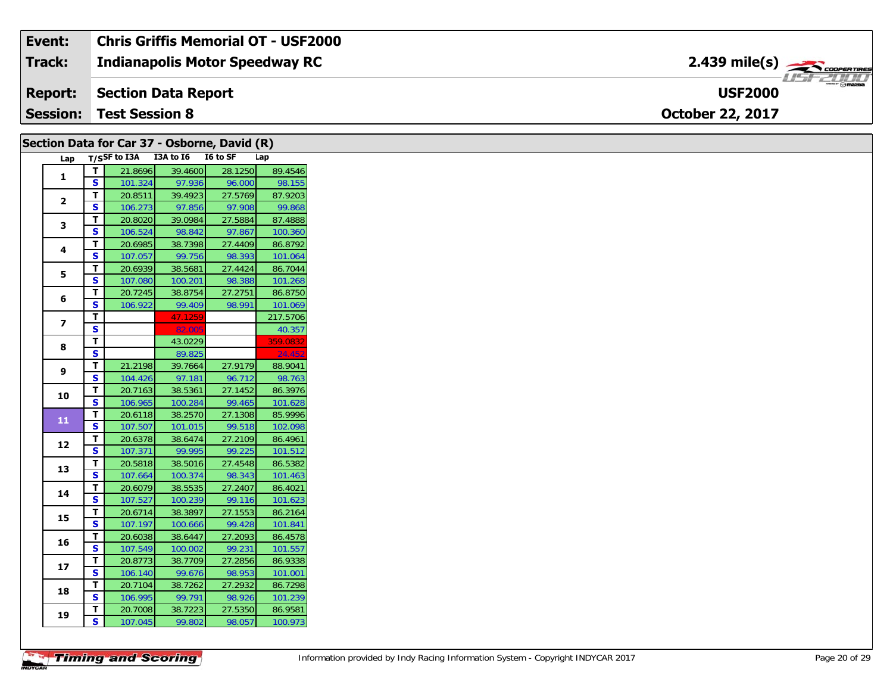#### **Indianapolis Motor Speedway RC Section Data Report October 22, 2017 Event: Chris Griffis Memorial OT - USF2000 Track: Report: Session: Test Session 8 USF2000**2.439 mile(s)

| T/SSF to I3A I3A to I6 I6 to SF<br>Lap<br>Lap<br>39.4600<br>28.1250<br>21.8696<br>89.4546<br>T.<br>1<br>S<br>97.936<br>98.155<br>101.324<br>96.000<br>T.<br>39.4923<br>27.5769<br>87.9203<br>20.8511<br>$\mathbf{2}$<br>S<br>99.868<br>97.856<br>97.908<br>106.273<br>T.<br>20.8020<br>39.0984<br>27.5884<br>87.4888<br>3<br>S.<br>106.524<br>98.842<br>97.867<br>100.360<br>20.6985<br>38.7398<br>27.4409<br>86.8792<br>T.<br>4<br>$\overline{\mathbf{s}}$<br>99.756<br>107.057<br>98.393<br>101.064<br>T.<br>86.7044<br>20.6939<br>38.5681<br>27.4424<br>5<br>S<br>101.268<br>107.080<br>100.201<br>98.388<br>T.<br>20.7245<br>38.8754<br>27.2751<br>86.8750<br>6<br>S.<br>101.069<br>106.922<br>99.409<br>98.991<br>T.<br>47.1259<br>217.5706<br>$\overline{z}$<br>82.00<br>S<br>40.357<br>T<br>43.0229<br>359.0832<br>8<br>S<br>24.452<br>89.825<br>T.<br>21.2198<br>27.9179<br>39.7664<br>88.9041<br>9<br>S<br>104.426<br>97.181<br>96.712<br>98.763<br>20.7163<br>38.5361<br>27.1452<br>86.3976<br>T.<br>10<br>S.<br>106.965<br>100.284<br>99.465<br>101.628<br>T.<br>85.9996<br>20.6118<br>38.2570<br>27.1308<br>11<br>S<br>102.098<br>107.507<br>101.015<br>99.518<br>27.2109<br>T.<br>20.6378<br>38.6474<br>86.4961<br>12<br>S.<br>99.995<br>99.225<br>107.371<br>101.512<br>20.5818<br>38.5016<br>27.4548<br>86.5382<br>T.<br>13<br>S<br>100.374<br>98.343<br>101.463<br>107.664<br>T<br>38.5535<br>27.2407<br>86.4021<br>20.6079<br>14<br>$\overline{\mathbf{s}}$<br>107.527<br>99.116<br>101.623<br>100.239<br>20.6714<br>38.3897<br>27.1553<br>86.2164<br>T.<br>15<br>S<br>107.197<br>100.666<br>99.428<br>101.841<br>20.6038<br>38.6447<br>27.2093<br>86.4578<br>T.<br>16<br>S.<br>99.231<br>101.557<br>107.549<br>100.002<br>T.<br>27.2856<br>86.9338<br>20.8773<br>38.7709<br>17<br>S.<br>99.676<br>98.953<br>101.001<br>106.140<br>27.2932<br>T.<br>20.7104<br>38.7262<br>86.7298<br>18<br>S.<br>106.995<br>99.791<br>98.926<br>101.239<br>27.5350<br>20.7008<br>38.7223<br>86.9581<br>T.<br>19<br>S.<br>107.045<br>99.802<br>98.057<br>100.973 |  | Section Data for Car 37 - Osborne, David (R) |  |  |
|------------------------------------------------------------------------------------------------------------------------------------------------------------------------------------------------------------------------------------------------------------------------------------------------------------------------------------------------------------------------------------------------------------------------------------------------------------------------------------------------------------------------------------------------------------------------------------------------------------------------------------------------------------------------------------------------------------------------------------------------------------------------------------------------------------------------------------------------------------------------------------------------------------------------------------------------------------------------------------------------------------------------------------------------------------------------------------------------------------------------------------------------------------------------------------------------------------------------------------------------------------------------------------------------------------------------------------------------------------------------------------------------------------------------------------------------------------------------------------------------------------------------------------------------------------------------------------------------------------------------------------------------------------------------------------------------------------------------------------------------------------------------------------------------------------------------------------------------------------------------------------------------------------------------------------------------------------------------------------------------------------------------------------------------------------------|--|----------------------------------------------|--|--|
|                                                                                                                                                                                                                                                                                                                                                                                                                                                                                                                                                                                                                                                                                                                                                                                                                                                                                                                                                                                                                                                                                                                                                                                                                                                                                                                                                                                                                                                                                                                                                                                                                                                                                                                                                                                                                                                                                                                                                                                                                                                                  |  |                                              |  |  |
|                                                                                                                                                                                                                                                                                                                                                                                                                                                                                                                                                                                                                                                                                                                                                                                                                                                                                                                                                                                                                                                                                                                                                                                                                                                                                                                                                                                                                                                                                                                                                                                                                                                                                                                                                                                                                                                                                                                                                                                                                                                                  |  |                                              |  |  |
|                                                                                                                                                                                                                                                                                                                                                                                                                                                                                                                                                                                                                                                                                                                                                                                                                                                                                                                                                                                                                                                                                                                                                                                                                                                                                                                                                                                                                                                                                                                                                                                                                                                                                                                                                                                                                                                                                                                                                                                                                                                                  |  |                                              |  |  |
|                                                                                                                                                                                                                                                                                                                                                                                                                                                                                                                                                                                                                                                                                                                                                                                                                                                                                                                                                                                                                                                                                                                                                                                                                                                                                                                                                                                                                                                                                                                                                                                                                                                                                                                                                                                                                                                                                                                                                                                                                                                                  |  |                                              |  |  |
|                                                                                                                                                                                                                                                                                                                                                                                                                                                                                                                                                                                                                                                                                                                                                                                                                                                                                                                                                                                                                                                                                                                                                                                                                                                                                                                                                                                                                                                                                                                                                                                                                                                                                                                                                                                                                                                                                                                                                                                                                                                                  |  |                                              |  |  |
|                                                                                                                                                                                                                                                                                                                                                                                                                                                                                                                                                                                                                                                                                                                                                                                                                                                                                                                                                                                                                                                                                                                                                                                                                                                                                                                                                                                                                                                                                                                                                                                                                                                                                                                                                                                                                                                                                                                                                                                                                                                                  |  |                                              |  |  |
|                                                                                                                                                                                                                                                                                                                                                                                                                                                                                                                                                                                                                                                                                                                                                                                                                                                                                                                                                                                                                                                                                                                                                                                                                                                                                                                                                                                                                                                                                                                                                                                                                                                                                                                                                                                                                                                                                                                                                                                                                                                                  |  |                                              |  |  |
|                                                                                                                                                                                                                                                                                                                                                                                                                                                                                                                                                                                                                                                                                                                                                                                                                                                                                                                                                                                                                                                                                                                                                                                                                                                                                                                                                                                                                                                                                                                                                                                                                                                                                                                                                                                                                                                                                                                                                                                                                                                                  |  |                                              |  |  |
|                                                                                                                                                                                                                                                                                                                                                                                                                                                                                                                                                                                                                                                                                                                                                                                                                                                                                                                                                                                                                                                                                                                                                                                                                                                                                                                                                                                                                                                                                                                                                                                                                                                                                                                                                                                                                                                                                                                                                                                                                                                                  |  |                                              |  |  |
|                                                                                                                                                                                                                                                                                                                                                                                                                                                                                                                                                                                                                                                                                                                                                                                                                                                                                                                                                                                                                                                                                                                                                                                                                                                                                                                                                                                                                                                                                                                                                                                                                                                                                                                                                                                                                                                                                                                                                                                                                                                                  |  |                                              |  |  |
|                                                                                                                                                                                                                                                                                                                                                                                                                                                                                                                                                                                                                                                                                                                                                                                                                                                                                                                                                                                                                                                                                                                                                                                                                                                                                                                                                                                                                                                                                                                                                                                                                                                                                                                                                                                                                                                                                                                                                                                                                                                                  |  |                                              |  |  |
|                                                                                                                                                                                                                                                                                                                                                                                                                                                                                                                                                                                                                                                                                                                                                                                                                                                                                                                                                                                                                                                                                                                                                                                                                                                                                                                                                                                                                                                                                                                                                                                                                                                                                                                                                                                                                                                                                                                                                                                                                                                                  |  |                                              |  |  |
|                                                                                                                                                                                                                                                                                                                                                                                                                                                                                                                                                                                                                                                                                                                                                                                                                                                                                                                                                                                                                                                                                                                                                                                                                                                                                                                                                                                                                                                                                                                                                                                                                                                                                                                                                                                                                                                                                                                                                                                                                                                                  |  |                                              |  |  |
|                                                                                                                                                                                                                                                                                                                                                                                                                                                                                                                                                                                                                                                                                                                                                                                                                                                                                                                                                                                                                                                                                                                                                                                                                                                                                                                                                                                                                                                                                                                                                                                                                                                                                                                                                                                                                                                                                                                                                                                                                                                                  |  |                                              |  |  |
|                                                                                                                                                                                                                                                                                                                                                                                                                                                                                                                                                                                                                                                                                                                                                                                                                                                                                                                                                                                                                                                                                                                                                                                                                                                                                                                                                                                                                                                                                                                                                                                                                                                                                                                                                                                                                                                                                                                                                                                                                                                                  |  |                                              |  |  |
|                                                                                                                                                                                                                                                                                                                                                                                                                                                                                                                                                                                                                                                                                                                                                                                                                                                                                                                                                                                                                                                                                                                                                                                                                                                                                                                                                                                                                                                                                                                                                                                                                                                                                                                                                                                                                                                                                                                                                                                                                                                                  |  |                                              |  |  |
|                                                                                                                                                                                                                                                                                                                                                                                                                                                                                                                                                                                                                                                                                                                                                                                                                                                                                                                                                                                                                                                                                                                                                                                                                                                                                                                                                                                                                                                                                                                                                                                                                                                                                                                                                                                                                                                                                                                                                                                                                                                                  |  |                                              |  |  |
|                                                                                                                                                                                                                                                                                                                                                                                                                                                                                                                                                                                                                                                                                                                                                                                                                                                                                                                                                                                                                                                                                                                                                                                                                                                                                                                                                                                                                                                                                                                                                                                                                                                                                                                                                                                                                                                                                                                                                                                                                                                                  |  |                                              |  |  |
|                                                                                                                                                                                                                                                                                                                                                                                                                                                                                                                                                                                                                                                                                                                                                                                                                                                                                                                                                                                                                                                                                                                                                                                                                                                                                                                                                                                                                                                                                                                                                                                                                                                                                                                                                                                                                                                                                                                                                                                                                                                                  |  |                                              |  |  |
|                                                                                                                                                                                                                                                                                                                                                                                                                                                                                                                                                                                                                                                                                                                                                                                                                                                                                                                                                                                                                                                                                                                                                                                                                                                                                                                                                                                                                                                                                                                                                                                                                                                                                                                                                                                                                                                                                                                                                                                                                                                                  |  |                                              |  |  |
|                                                                                                                                                                                                                                                                                                                                                                                                                                                                                                                                                                                                                                                                                                                                                                                                                                                                                                                                                                                                                                                                                                                                                                                                                                                                                                                                                                                                                                                                                                                                                                                                                                                                                                                                                                                                                                                                                                                                                                                                                                                                  |  |                                              |  |  |
|                                                                                                                                                                                                                                                                                                                                                                                                                                                                                                                                                                                                                                                                                                                                                                                                                                                                                                                                                                                                                                                                                                                                                                                                                                                                                                                                                                                                                                                                                                                                                                                                                                                                                                                                                                                                                                                                                                                                                                                                                                                                  |  |                                              |  |  |
|                                                                                                                                                                                                                                                                                                                                                                                                                                                                                                                                                                                                                                                                                                                                                                                                                                                                                                                                                                                                                                                                                                                                                                                                                                                                                                                                                                                                                                                                                                                                                                                                                                                                                                                                                                                                                                                                                                                                                                                                                                                                  |  |                                              |  |  |
|                                                                                                                                                                                                                                                                                                                                                                                                                                                                                                                                                                                                                                                                                                                                                                                                                                                                                                                                                                                                                                                                                                                                                                                                                                                                                                                                                                                                                                                                                                                                                                                                                                                                                                                                                                                                                                                                                                                                                                                                                                                                  |  |                                              |  |  |
|                                                                                                                                                                                                                                                                                                                                                                                                                                                                                                                                                                                                                                                                                                                                                                                                                                                                                                                                                                                                                                                                                                                                                                                                                                                                                                                                                                                                                                                                                                                                                                                                                                                                                                                                                                                                                                                                                                                                                                                                                                                                  |  |                                              |  |  |
|                                                                                                                                                                                                                                                                                                                                                                                                                                                                                                                                                                                                                                                                                                                                                                                                                                                                                                                                                                                                                                                                                                                                                                                                                                                                                                                                                                                                                                                                                                                                                                                                                                                                                                                                                                                                                                                                                                                                                                                                                                                                  |  |                                              |  |  |
|                                                                                                                                                                                                                                                                                                                                                                                                                                                                                                                                                                                                                                                                                                                                                                                                                                                                                                                                                                                                                                                                                                                                                                                                                                                                                                                                                                                                                                                                                                                                                                                                                                                                                                                                                                                                                                                                                                                                                                                                                                                                  |  |                                              |  |  |
|                                                                                                                                                                                                                                                                                                                                                                                                                                                                                                                                                                                                                                                                                                                                                                                                                                                                                                                                                                                                                                                                                                                                                                                                                                                                                                                                                                                                                                                                                                                                                                                                                                                                                                                                                                                                                                                                                                                                                                                                                                                                  |  |                                              |  |  |
|                                                                                                                                                                                                                                                                                                                                                                                                                                                                                                                                                                                                                                                                                                                                                                                                                                                                                                                                                                                                                                                                                                                                                                                                                                                                                                                                                                                                                                                                                                                                                                                                                                                                                                                                                                                                                                                                                                                                                                                                                                                                  |  |                                              |  |  |
|                                                                                                                                                                                                                                                                                                                                                                                                                                                                                                                                                                                                                                                                                                                                                                                                                                                                                                                                                                                                                                                                                                                                                                                                                                                                                                                                                                                                                                                                                                                                                                                                                                                                                                                                                                                                                                                                                                                                                                                                                                                                  |  |                                              |  |  |
|                                                                                                                                                                                                                                                                                                                                                                                                                                                                                                                                                                                                                                                                                                                                                                                                                                                                                                                                                                                                                                                                                                                                                                                                                                                                                                                                                                                                                                                                                                                                                                                                                                                                                                                                                                                                                                                                                                                                                                                                                                                                  |  |                                              |  |  |
|                                                                                                                                                                                                                                                                                                                                                                                                                                                                                                                                                                                                                                                                                                                                                                                                                                                                                                                                                                                                                                                                                                                                                                                                                                                                                                                                                                                                                                                                                                                                                                                                                                                                                                                                                                                                                                                                                                                                                                                                                                                                  |  |                                              |  |  |
|                                                                                                                                                                                                                                                                                                                                                                                                                                                                                                                                                                                                                                                                                                                                                                                                                                                                                                                                                                                                                                                                                                                                                                                                                                                                                                                                                                                                                                                                                                                                                                                                                                                                                                                                                                                                                                                                                                                                                                                                                                                                  |  |                                              |  |  |
|                                                                                                                                                                                                                                                                                                                                                                                                                                                                                                                                                                                                                                                                                                                                                                                                                                                                                                                                                                                                                                                                                                                                                                                                                                                                                                                                                                                                                                                                                                                                                                                                                                                                                                                                                                                                                                                                                                                                                                                                                                                                  |  |                                              |  |  |
|                                                                                                                                                                                                                                                                                                                                                                                                                                                                                                                                                                                                                                                                                                                                                                                                                                                                                                                                                                                                                                                                                                                                                                                                                                                                                                                                                                                                                                                                                                                                                                                                                                                                                                                                                                                                                                                                                                                                                                                                                                                                  |  |                                              |  |  |
|                                                                                                                                                                                                                                                                                                                                                                                                                                                                                                                                                                                                                                                                                                                                                                                                                                                                                                                                                                                                                                                                                                                                                                                                                                                                                                                                                                                                                                                                                                                                                                                                                                                                                                                                                                                                                                                                                                                                                                                                                                                                  |  |                                              |  |  |
|                                                                                                                                                                                                                                                                                                                                                                                                                                                                                                                                                                                                                                                                                                                                                                                                                                                                                                                                                                                                                                                                                                                                                                                                                                                                                                                                                                                                                                                                                                                                                                                                                                                                                                                                                                                                                                                                                                                                                                                                                                                                  |  |                                              |  |  |
|                                                                                                                                                                                                                                                                                                                                                                                                                                                                                                                                                                                                                                                                                                                                                                                                                                                                                                                                                                                                                                                                                                                                                                                                                                                                                                                                                                                                                                                                                                                                                                                                                                                                                                                                                                                                                                                                                                                                                                                                                                                                  |  |                                              |  |  |
|                                                                                                                                                                                                                                                                                                                                                                                                                                                                                                                                                                                                                                                                                                                                                                                                                                                                                                                                                                                                                                                                                                                                                                                                                                                                                                                                                                                                                                                                                                                                                                                                                                                                                                                                                                                                                                                                                                                                                                                                                                                                  |  |                                              |  |  |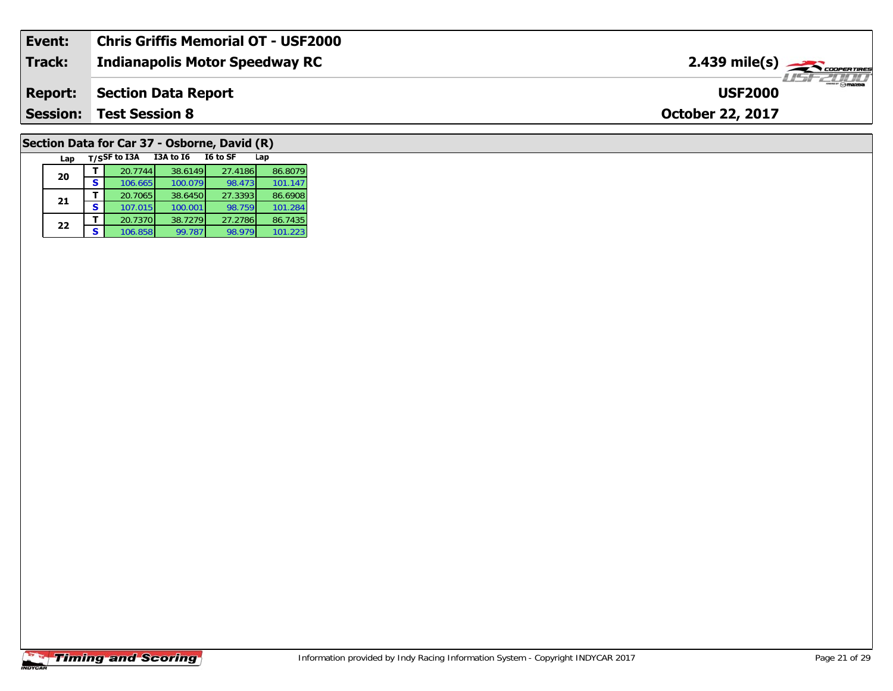| Event:          | <b>Chris Griffis Memorial OT - USF2000</b> |                                   |
|-----------------|--------------------------------------------|-----------------------------------|
| <b>Track:</b>   | <b>Indianapolis Motor Speedway RC</b>      | $2.439$ mile(s) $\frac{1}{2.566}$ |
| <b>Report:</b>  | Section Data Report                        | <b>USF2000</b>                    |
| <b>Session:</b> | <b>Test Session 8</b>                      | <b>October 22, 2017</b>           |
|                 |                                            |                                   |

# **Section Data for Car 37 - Osborne, David (R)**

| Lap |   | T/SSF to I3A | <b>I3A to 16</b> | I6 to SF | Lap     |
|-----|---|--------------|------------------|----------|---------|
| 20  |   | 20.7744      | 38.6149          | 27.4186  | 86.8079 |
|     | s | 106.665      | 100.079          | 98.473   | 101.147 |
| 21  |   | 20.7065      | 38.6450          | 27.3393  | 86.6908 |
|     | s | 107.015      | 100.001          | 98.759   | 101.284 |
| 22  |   | 20.7370      | 38.7279          | 27.2786  | 86.7435 |
|     |   | 106.858      | 99.787           | 98.979   | 101.223 |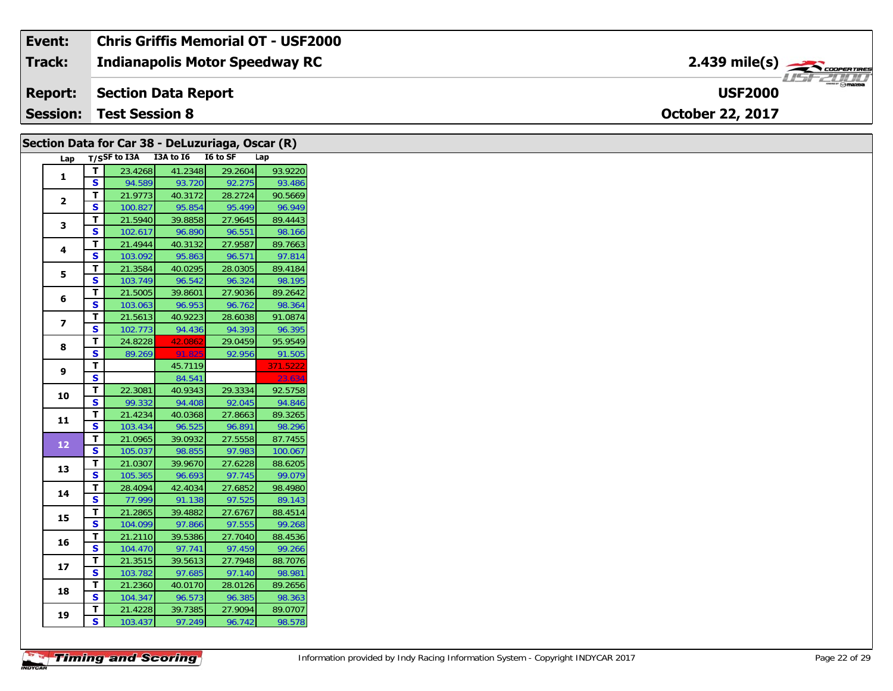| Event:          | <b>Chris Griffis Memorial OT - USF2000</b> |                                                       |
|-----------------|--------------------------------------------|-------------------------------------------------------|
| <b>Track:</b>   | <b>Indianapolis Motor Speedway RC</b>      | $2.439$ mile(s) $\overbrace{\hspace{2cm}}$ coorganges |
| <b>Report:</b>  | Section Data Report                        | $-111$<br><b>USF2000</b>                              |
| <b>Session:</b> | Test Session 8                             | <b>October 22, 2017</b>                               |

|                |                         |                                 | Section Data for Car 38 - DeLuzuriaga, Oscar (R) |         |          |
|----------------|-------------------------|---------------------------------|--------------------------------------------------|---------|----------|
| Lap            |                         | T/SSF to I3A I3A to I6 I6 to SF |                                                  |         | Lap      |
|                | T.                      | 23.4268                         | 41.2348                                          | 29.2604 | 93.9220  |
| $\mathbf{1}$   | $\overline{\mathbf{s}}$ | 94.589                          | 93.720                                           | 92.275  | 93.486   |
|                | T                       | 21.9773                         | 40.3172                                          | 28.2724 | 90.5669  |
| $\mathbf{2}$   | $\mathbf{s}$            | 100.827                         | 95.854                                           | 95.499  | 96.949   |
| 3              | T                       | 21.5940                         | 39.8858                                          | 27.9645 | 89.4443  |
|                | S                       | 102.617                         | 96.890                                           | 96.551  | 98.166   |
| 4              | T                       | 21.4944                         | 40.3132                                          | 27.9587 | 89.7663  |
|                | S                       | 103.092                         | 95.863                                           | 96.571  | 97.814   |
| 5              | T                       | 21.3584                         | 40.0295                                          | 28.0305 | 89.4184  |
|                | S                       | 103.749                         | 96.542                                           | 96.324  | 98.195   |
| 6              | T                       | 21.5005                         | 39.8601                                          | 27.9036 | 89.2642  |
|                | $\mathbf{s}$            | 103.063                         | 96.953                                           | 96.762  | 98.364   |
| $\overline{z}$ | T                       | 21.5613                         | 40.9223                                          | 28.6038 | 91.0874  |
|                | S                       | 102.773                         | 94.436                                           | 94.393  | 96.395   |
| 8              | T                       | 24.8228                         | 42.0862                                          | 29.0459 | 95.9549  |
|                | S                       | 89.269                          | 91.825                                           | 92.956  | 91.505   |
| 9              | T.                      |                                 | 45.7119                                          |         | 371.5222 |
|                | S                       |                                 | 84.541                                           |         | 23.634   |
| 10             | T                       | 22.3081                         | 40.9343                                          | 29.3334 | 92.5758  |
|                | $\overline{\mathbf{s}}$ | 99.332                          | 94.408                                           | 92.045  | 94.846   |
| 11             | T                       | 21.4234                         | 40.0368                                          | 27.8663 | 89.3265  |
|                | S                       | 103.434                         | 96.525                                           | 96.891  | 98.296   |
| 12             | T                       | 21.0965                         | 39.0932                                          | 27.5558 | 87.7455  |
|                | $\mathbf{s}$            | 105.037                         | 98.855                                           | 97.983  | 100.067  |
| 13             | T                       | 21.0307                         | 39.9670                                          | 27.6228 | 88.6205  |
|                | $\mathbf{s}$            | 105.365                         | 96.693                                           | 97.745  | 99.079   |
| 14             | T.                      | 28.4094                         | 42.4034                                          | 27.6852 | 98.4980  |
|                | S                       | 77.999                          | 91.138                                           | 97.525  | 89.143   |
| 15             | T                       | 21.2865                         | 39.4882                                          | 27.6767 | 88.4514  |
|                | $\overline{\mathbf{s}}$ | 104.099                         | 97.866                                           | 97.555  | 99.268   |
| 16             | T                       | 21.2110                         | 39.5386                                          | 27.7040 | 88.4536  |
|                | S                       | 104.470                         | 97.741                                           | 97.459  | 99.266   |
| 17             | T                       | 21.3515                         | 39.5613                                          | 27.7948 | 88.7076  |
|                | S                       | 103.782                         | 97.685                                           | 97.140  | 98.981   |
| 18             | T.                      | 21.2360                         | 40.0170                                          | 28.0126 | 89.2656  |
|                | $\mathbf{s}$            | 104.347                         | 96.573                                           | 96.385  | 98.363   |
| 19             | T                       | 21.4228                         | 39.7385                                          | 27.9094 | 89.0707  |
|                | $\mathbf{s}$            | 103.437                         | 97.249                                           | 96.742  | 98.578   |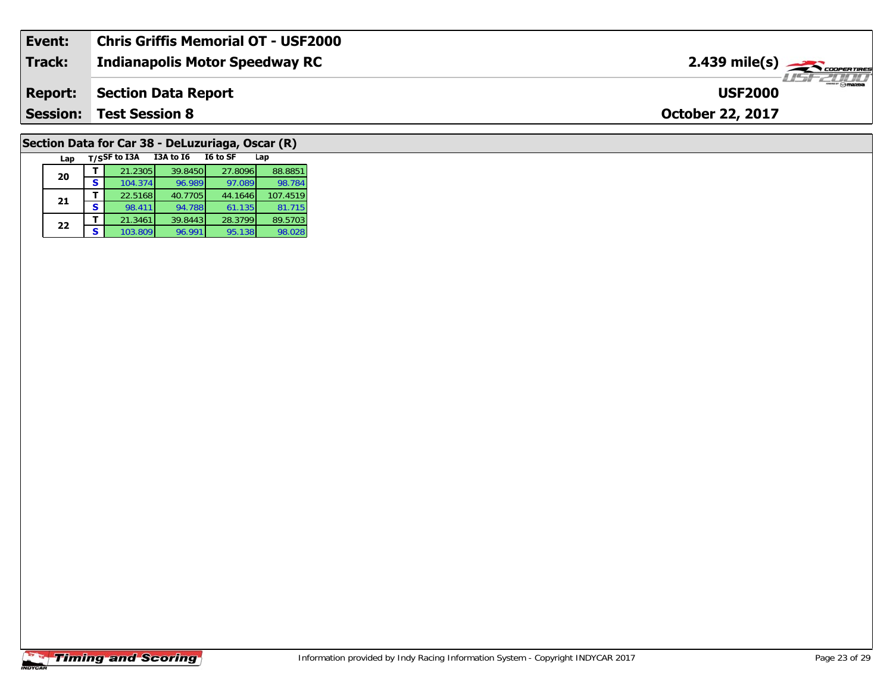| Event:          | <b>Chris Griffis Memorial OT - USF2000</b> |                                                                   |
|-----------------|--------------------------------------------|-------------------------------------------------------------------|
| Track:          | <b>Indianapolis Motor Speedway RC</b>      | $2.439$ mile(s) $\frac{1}{\sqrt{2.600 \text{ cm} \cdot \text{m}}$ |
| <b>Report:</b>  | <b>Section Data Report</b>                 | <b>Omazoa</b><br><b>USF2000</b>                                   |
| <b>Session:</b> | <b>Test Session 8</b>                      | <b>October 22, 2017</b>                                           |
|                 |                                            |                                                                   |

## **Section Data for Car 38 - DeLuzuriaga, Oscar (R)**

| Lap |   | T/SSF to I3A | <b>I3A to 16</b> | I6 to SF | Lap      |
|-----|---|--------------|------------------|----------|----------|
| 20  |   | 21.2305      | 39.8450          | 27.8096  | 88.8851  |
|     | S | 104.374      | 96.989           | 97.089   | 98.784   |
| 21  |   | 22.5168      | 40.7705          | 44.1646  | 107.4519 |
|     | S | 98.411       | 94.788           | 61.135   | 81.715   |
| 22  |   | 21.3461      | 39.8443          | 28.3799  | 89.5703  |
|     | S | 103.809      | 96.991           | 95.138   | 98.028   |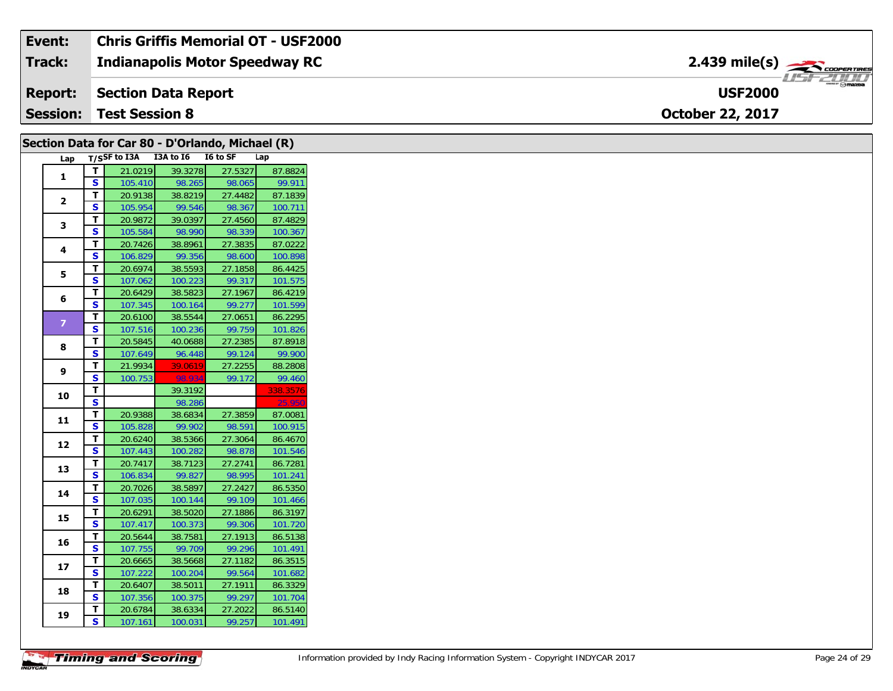| Event:          | <b>Chris Griffis Memorial OT - USF2000</b> |                                           |
|-----------------|--------------------------------------------|-------------------------------------------|
| <b>Track:</b>   | <b>Indianapolis Motor Speedway RC</b>      | $2.439$ mile(s) $\rightarrow$ COOPERTIRES |
| <b>Report:</b>  | Section Data Report                        | <b>Omazoa</b><br><b>USF2000</b>           |
| <b>Session:</b> | <b>Test Session 8</b>                      | <b>October 22, 2017</b>                   |

|                |                         |                                 |                    | Section Data for Car 80 - D'Orlando, Michael (R) |                    |
|----------------|-------------------------|---------------------------------|--------------------|--------------------------------------------------|--------------------|
| Lap            |                         | T/SSF to I3A I3A to I6 I6 to SF |                    |                                                  | Lap                |
| $\mathbf{1}$   | T                       | 21.0219                         | 39.3278            | 27.5327                                          | 87.8824            |
|                | S                       | 105.410                         | 98.265             | 98.065                                           | 99.911             |
| $\mathbf{2}$   | T                       | 20.9138                         | 38.8219            | 27.4482                                          | 87.1839            |
|                | S                       | 105.954                         | 99.546             | 98.367                                           | 100.711            |
| $\mathbf{3}$   | Т                       | 20.9872                         | 39.0397            | 27.4560                                          | 87.4829            |
|                | S                       | 105.584                         | 98.990             | 98.339                                           | 100.367            |
| 4              | Т                       | 20.7426                         | 38.8961            | 27.3835                                          | 87.0222            |
|                | $\overline{\mathbf{s}}$ | 106.829                         | 99.356             | 98.600                                           | 100.898            |
| 5              | $\mathbf T$             | 20.6974                         | 38.5593            | 27.1858                                          | 86.4425            |
|                | ${\sf s}$               | 107.062                         | 100.223            | 99.317                                           | 101.575            |
| 6              | T                       | 20.6429                         | 38.5823            | 27.1967                                          | 86.4219            |
|                | S                       | 107.345                         | 100.164            | 99.277                                           | 101.599            |
| $\overline{7}$ | $\mathbf T$             | 20.6100                         | 38.5544            | 27.0651                                          | 86.2295            |
|                | $\mathbf{s}$            | 107.516                         | 100.236            | 99.759                                           | 101.826            |
| 8              | T                       | 20.5845                         | 40.0688            | 27.2385                                          | 87.8918            |
|                | S                       | 107.649                         | 96.448             | 99.124                                           | 99.900             |
| 9              | Т                       | 21.9934                         | 39.0619            | 27.2255                                          | 88.2808            |
|                | S                       | 100.753                         | 98.934             | 99.172                                           | 99.460             |
| 10             | т                       |                                 | 39.3192            |                                                  | 338.3576           |
|                | $\overline{\mathbf{s}}$ |                                 | 98.286             |                                                  | 25.95              |
| 11             | $\mathbf T$             | 20.9388                         | 38.6834            | 27.3859                                          | 87.0081            |
|                | S                       | 105.828                         | 99.902             | 98.591                                           | 100.915            |
| 12             | Т                       | 20.6240                         | 38.5366            | 27.3064                                          | 86.4670            |
|                | S                       | 107.443                         | 100.282            | 98.878                                           | 101.546            |
| 13             | Т                       | 20.7417                         | 38.7123            | 27.2741                                          | 86.7281            |
|                | $\overline{\mathbf{s}}$ | 106.834                         | 99.827             | 98.995                                           | 101.241            |
| 14             | $\mathbf T$             | 20.7026                         | 38.5897            | 27.2427                                          | 86.5350            |
|                | S                       | 107.035                         | 100.144            | 99.109                                           | 101.466            |
| 15             | Т                       | 20.6291                         | 38.5020            | 27.1886                                          | 86.3197            |
|                | $\mathbf{s}$            | 107.417                         | 100.373            | 99.306                                           | 101.720            |
|                |                         | 20.5644                         | 38.7581            | 27.1913                                          | 86.5138            |
|                | т                       |                                 |                    |                                                  |                    |
| 16             | $\mathbf s$             | 107.755                         | 99.709             | 99.296                                           | 101.491            |
|                | $\mathbf T$             | 20.6665                         | 38.5668            | 27.1182                                          | 86.3515            |
| 17             | S                       | 107.222                         | 100.204            | 99.564                                           | 101.682            |
|                | T                       | 20.6407                         | 38.5011            | 27.1911                                          | 86.3329            |
| 18             | $\mathbf{s}$            | 107.356                         | 100.375            | 99.297                                           | 101.704            |
| 19             | т<br>S                  | 20.6784<br>107.161              | 38.6334<br>100.031 | 27.2022<br>99.257                                | 86.5140<br>101.491 |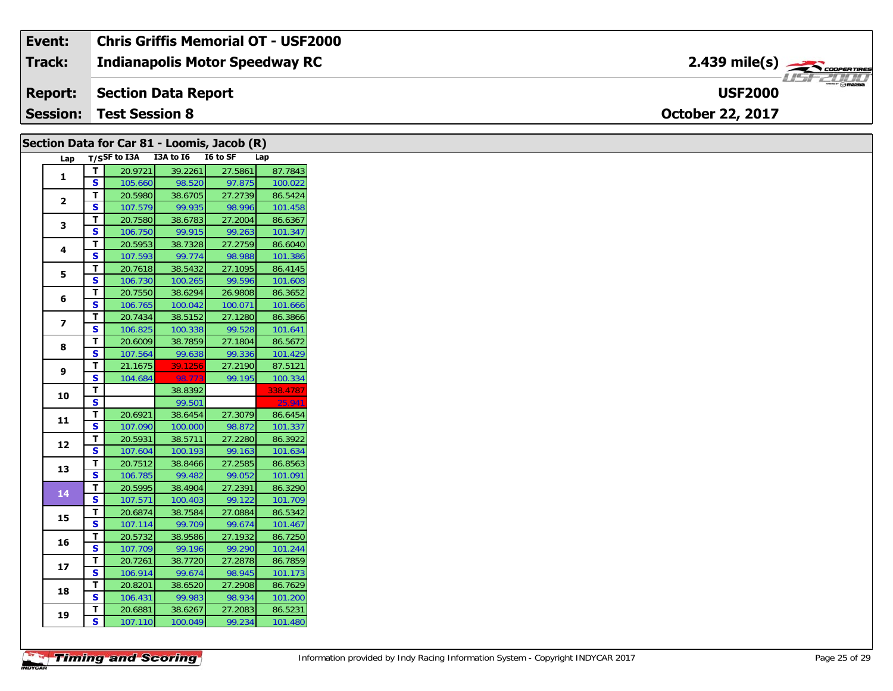#### Event: **Chris Griffis Memorial OT - USF2000**  $2.439 \text{ mile(s)}$ **Track: Indianapolis Motor Speedway RC** USF 2000 **USF2000 Report: Section Data Report Session: Test Session 8** October 22, 2017

|                |                         |                                 |                    | Section Data for Car 81 - Loomis, Jacob (R) |                    |
|----------------|-------------------------|---------------------------------|--------------------|---------------------------------------------|--------------------|
| Lap            |                         | T/SSF to I3A I3A to I6 I6 to SF |                    |                                             | Lap                |
|                | T.                      | 20.9721                         | 39.2261            | 27.5861                                     | 87.7843            |
| 1              | S                       | 105.660                         | 98.520             | 97.875                                      | 100.022            |
| $\mathbf{2}$   | T                       | 20.5980                         | 38.6705            | 27.2739                                     | 86.5424            |
|                | S                       | 107.579                         | 99.935             | 98.996                                      | 101.458            |
| 3              | T.                      | 20.7580                         | 38.6783            | 27.2004                                     | 86.6367            |
|                | S                       | 106.750                         | 99.915             | 99.263                                      | 101.347            |
| 4              | T.                      | 20.5953                         | 38.7328            | 27.2759                                     | 86.6040            |
|                | S.                      | 107.593                         | 99.774             | 98.988                                      | 101.386            |
| 5              | T.                      | 20.7618                         | 38.5432            | 27.1095                                     | 86.4145            |
|                | S                       | 106.730                         | 100.265            | 99.596                                      | 101.608            |
| 6              | T.                      | 20.7550                         | 38.6294            | 26.9808                                     | 86.3652            |
|                | S.                      | 106.765                         | 100.042            | 100.071                                     | 101.666            |
| $\overline{ }$ | T                       | 20.7434                         | 38.5152            | 27.1280                                     | 86.3866            |
|                | S                       | 106.825                         | 100.338            | 99.528                                      | 101.641            |
| 8              | T                       | 20.6009                         | 38.7859            | 27.1804                                     | 86.5672            |
|                | S                       | 107.564                         | 99.638             | 99.336                                      | 101.429            |
| 9              | T.                      | 21.1675                         | 39.1256            | 27.2190                                     | 87.5121            |
|                | S                       | 104.684                         | 98.773             | 99.195                                      | 100.334            |
| 10             | T                       |                                 | 38.8392            |                                             | 338.4787           |
|                | $\mathbf{s}$            |                                 | 99.501             |                                             | 25.941             |
| 11             | T                       | 20.6921                         | 38.6454            | 27.3079                                     | 86.6454            |
|                | S<br>T.                 | 107.090                         | 100.000            | 98.872<br>27.2280                           | 101.337            |
| 12             | S.                      | 20.5931<br>107.604              | 38.5711<br>100.193 | 99.163                                      | 86.3922<br>101.634 |
|                | Т.                      | 20.7512                         | 38.8466            | 27.2585                                     | 86.8563            |
| 13             | S                       | 106.785                         | 99.482             | 99.052                                      | 101.091            |
|                | T                       | 20.5995                         | 38.4904            | 27.2391                                     | 86.3290            |
| 14             | S                       | 107.571                         | 100.403            | 99.122                                      | 101.709            |
|                | T                       | 20.6874                         | 38.7584            | 27.0884                                     | 86.5342            |
| 15             | $\overline{\mathbf{s}}$ | 107.114                         | 99.709             | 99.674                                      | 101.467            |
|                | T.                      | 20.5732                         | 38.9586            | 27.1932                                     | 86.7250            |
| 16             | S                       | 107.709                         | 99.196             | 99.290                                      | 101.244            |
|                | T.                      | 20.7261                         | 38.7720            | 27.2878                                     | 86.7859            |
| 17             | S                       | 106.914                         | 99.674             | 98.945                                      | 101.173            |
|                | T.                      | 20.8201                         | 38.6520            | 27.2908                                     | 86.7629            |
| 18             | S                       | 106.431                         | 99.983             | 98.934                                      | 101.200            |
|                | T.                      | 20.6881                         | 38.6267            | 27.2083                                     | 86.5231            |
| 19             | S.                      | 107.110                         | 100.049            | 99.234                                      | 101.480            |
|                |                         |                                 |                    |                                             |                    |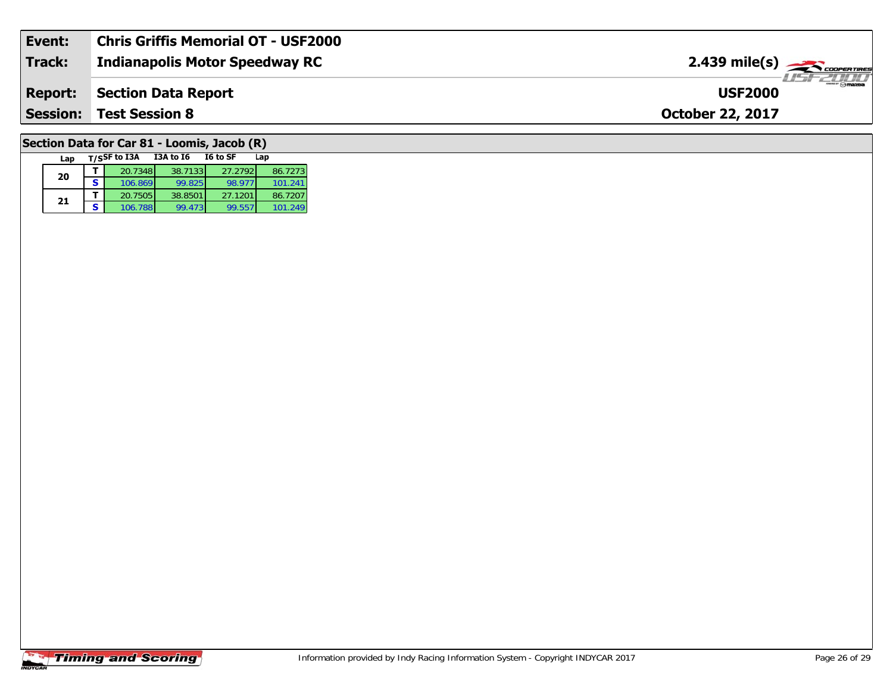| Event:         | Chris Griffis Memorial OT - USF2000 |                                                |
|----------------|-------------------------------------|------------------------------------------------|
| <b>Track:</b>  | Indianapolis Motor Speedway RC      | $2.439$ mile(s) $\frac{1}{2.566}$ coorer Times |
| <b>Report:</b> | Section Data Report                 | <sup>***</sup> ⊙mazpa<br><b>USF2000</b>        |
|                | <b>Session: Test Session 8</b>      | <b>October 22, 2017</b>                        |
|                |                                     |                                                |

## **Section Data for Car 81 - Loomis, Jacob (R)**

| Lap | T/SSF to I3A | I3A to I6 | I6 to SF | Lap     |
|-----|--------------|-----------|----------|---------|
| 20  | 20.7348      | 38.7133   | 27.2792  | 86.7273 |
|     | 106.869      | 99.825    | 98.977   | 101.241 |
| 21  | 20.7505      | 38.8501   | 27.1201  | 86.7207 |
|     | 106.788      | 99.473    | 99.557   | 101.249 |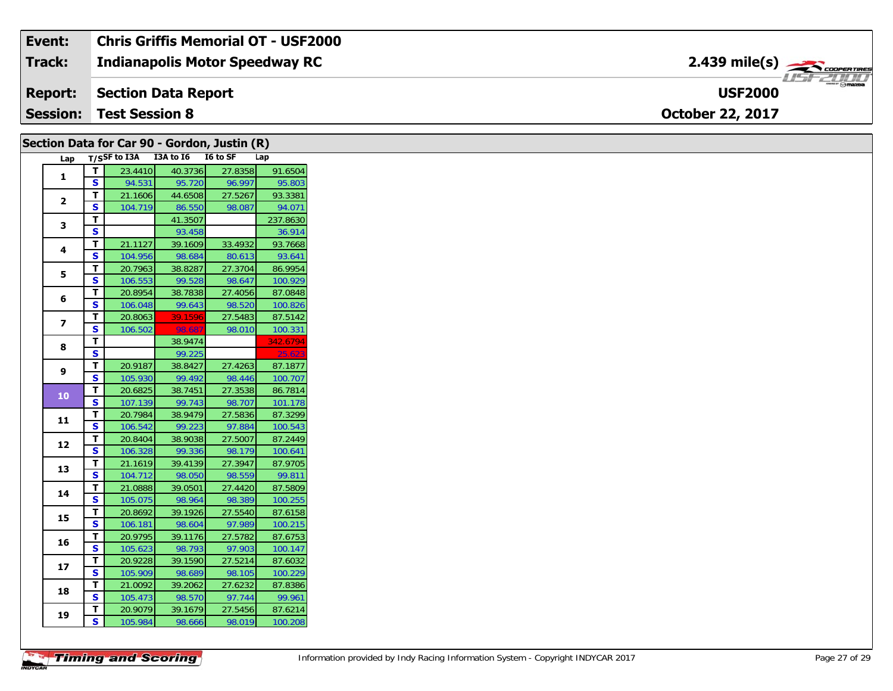#### **Event: Chris Griffis Memorial OT - USF2000** 2.439 mile(s) **2.439 miles Indianapolis Motor Speedway RC Track:** USF 2000 **Report: Section Data Report USF2000Session:October 22, 2017 Test Session 8**

|                         | Section Data for Car 90 - Gordon, Justin (R) |         |         |         |          |  |
|-------------------------|----------------------------------------------|---------|---------|---------|----------|--|
| Lap                     | T/SSF to I3A I3A to I6 I6 to SF<br>Lap       |         |         |         |          |  |
| $\mathbf{1}$            | T                                            | 23.4410 | 40.3736 | 27.8358 | 91.6504  |  |
|                         | $\mathbf{s}$                                 | 94.531  | 95.720  | 96.997  | 95.803   |  |
| $\mathbf{2}$            | T                                            | 21.1606 | 44.6508 | 27.5267 | 93.3381  |  |
|                         | S                                            | 104.719 | 86.550  | 98.087  | 94.071   |  |
| 3                       | T.                                           |         | 41.3507 |         | 237.8630 |  |
|                         | $\mathbf{s}$                                 |         | 93.458  |         | 36.914   |  |
| 4                       | T                                            | 21.1127 | 39.1609 | 33.4932 | 93.7668  |  |
|                         | $\overline{\mathbf{s}}$                      | 104.956 | 98.684  | 80.613  | 93.641   |  |
| 5                       | T                                            | 20.7963 | 38.8287 | 27.3704 | 86.9954  |  |
|                         | S                                            | 106.553 | 99.528  | 98.647  | 100.929  |  |
| 6                       | T                                            | 20.8954 | 38.7838 | 27.4056 | 87.0848  |  |
|                         | $\mathbf{s}$                                 | 106.048 | 99.643  | 98.520  | 100.826  |  |
| $\overline{\mathbf{z}}$ | T                                            | 20.8063 | 39.1596 | 27.5483 | 87.5142  |  |
|                         | $\overline{\mathbf{s}}$                      | 106.502 | 98.68   | 98.010  | 100.331  |  |
| 8                       | T.                                           |         | 38.9474 |         | 342.6794 |  |
|                         | $\mathbf{s}$                                 |         | 99.225  |         | 25.62    |  |
| 9                       | T                                            | 20.9187 | 38.8427 | 27.4263 | 87.1877  |  |
|                         | $\mathbf{s}$                                 | 105.930 | 99.492  | 98.446  | 100.707  |  |
| 10                      | T                                            | 20.6825 | 38.7451 | 27.3538 | 86.7814  |  |
|                         | $\overline{\mathbf{s}}$                      | 107.139 | 99.743  | 98.707  | 101.178  |  |
| 11                      | T                                            | 20.7984 | 38.9479 | 27.5836 | 87.3299  |  |
|                         | $\mathbf{s}$                                 | 106.542 | 99.223  | 97.884  | 100.543  |  |
| 12                      | T                                            | 20.8404 | 38.9038 | 27.5007 | 87.2449  |  |
|                         | <b>S</b>                                     | 106.328 | 99.336  | 98.179  | 100.641  |  |
| 13                      | T                                            | 21.1619 | 39.4139 | 27.3947 | 87.9705  |  |
|                         | $\mathbf{s}$                                 | 104.712 | 98.050  | 98.559  | 99.811   |  |
| 14                      | T                                            | 21.0888 | 39.0501 | 27.4420 | 87.5809  |  |
|                         | S                                            | 105.075 | 98.964  | 98.389  | 100.255  |  |
| 15                      | T                                            | 20.8692 | 39.1926 | 27.5540 | 87.6158  |  |
|                         | <b>S</b>                                     | 106.181 | 98.604  | 97.989  | 100.215  |  |
| 16                      | T                                            | 20.9795 | 39.1176 | 27.5782 | 87.6753  |  |
|                         | S                                            | 105.623 | 98.793  | 97.903  | 100.147  |  |
| 17                      | T.                                           | 20.9228 | 39.1590 | 27.5214 | 87.6032  |  |
|                         | S                                            | 105.909 | 98.689  | 98.105  | 100.229  |  |
| 18                      | T                                            | 21.0092 | 39.2062 | 27.6232 | 87.8386  |  |
|                         | $\mathbf{s}$                                 | 105.473 | 98.570  | 97.744  | 99.961   |  |
| 19                      | T                                            | 20.9079 | 39.1679 | 27.5456 | 87.6214  |  |
|                         | S                                            | 105.984 | 98.666  | 98.019  | 100.208  |  |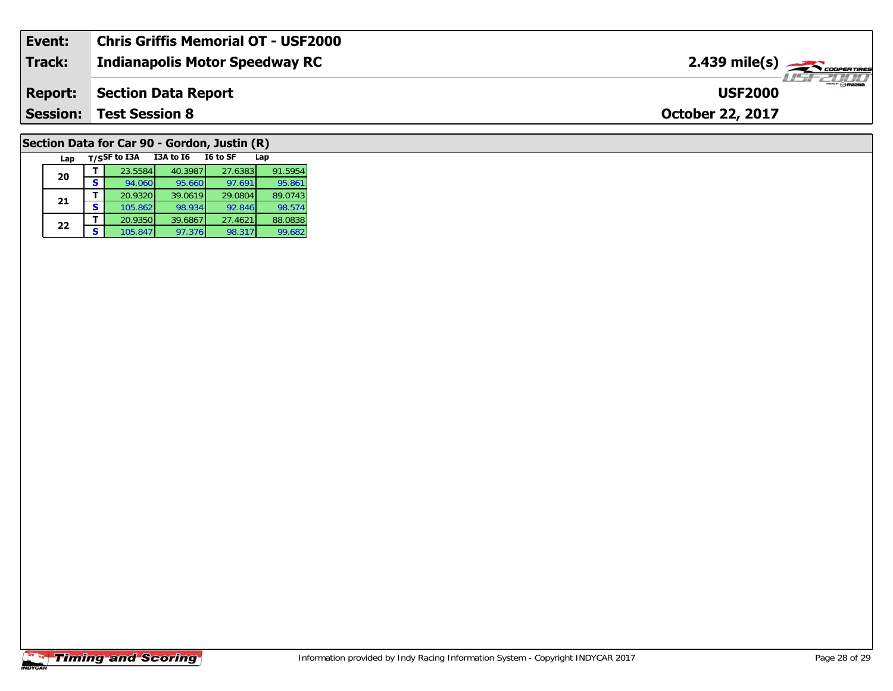| Event:          | <b>Chris Griffis Memorial OT - USF2000</b> |                                   |
|-----------------|--------------------------------------------|-----------------------------------|
| <b>Track:</b>   | <b>Indianapolis Motor Speedway RC</b>      | $2.439$ mile(s) $\frac{1}{2.566}$ |
| <b>Report:</b>  | Section Data Report                        | <b>USF2000</b>                    |
| <b>Session:</b> | <b>Test Session 8</b>                      | <b>October 22, 2017</b>           |
|                 |                                            |                                   |

# **Section Data for Car 90 - Gordon, Justin (R)**

|  | Lap |   | T/SSF to I3A | <b>I3A to 16</b> | I6 to SF | Lap     |
|--|-----|---|--------------|------------------|----------|---------|
|  | 20  |   | 23.5584      | 40.3987          | 27.6383  | 91.5954 |
|  |     | S | 94.060       | 95.660           | 97.691   | 95.861  |
|  | 21  |   | 20.9320      | 39.0619          | 29.0804  | 89.0743 |
|  |     | S | 105.862      | 98.934           | 92.846   | 98.574  |
|  | 22  |   | 20.9350      | 39.6867          | 27.4621  | 88.0838 |
|  |     | S | 105.847      | 97.376           | 98.317   | 99.682  |